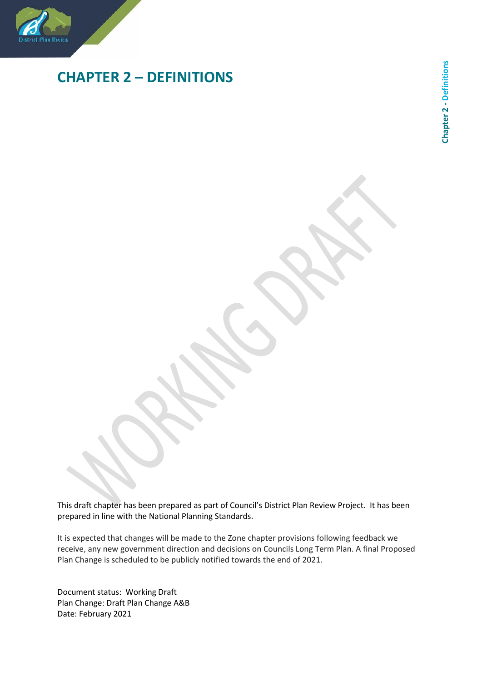

**CHAPTER 2 – DEFINITIONS**

This draft chapter has been prepared as part of Council's District Plan Review Project.  It has been prepared in line with the National Planning Standards.

It is expected that changes will be made to the Zone chapter provisions following feedback we receive, any new government direction and decisions on Councils Long Term Plan. A final Proposed Plan Change is scheduled to be publicly notified towards the end of 2021.

Document status:  Working Draft Plan Change: Draft Plan Change A&B Date: February 2021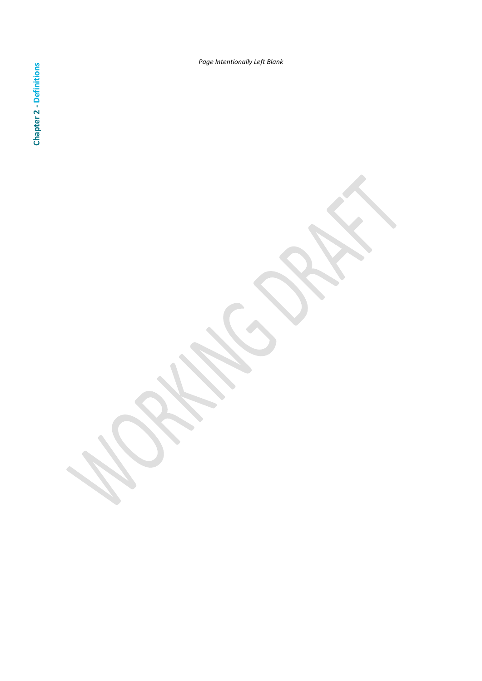*Page Intentionally Left Blank*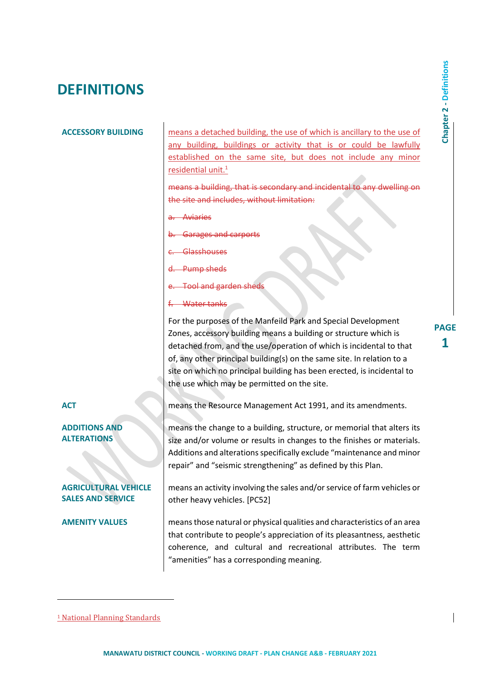## **DEFINITIONS**

**ACCESSORY BUILDING** means a detached building, the use of which is ancillary to the use of any building, buildings or activity that is or could be lawfully established on the same site, but does not include any minor residential unit.<sup>1</sup>

> means a building, that is secondary and incidental to any dwelling on the site and includes, without limitation:

Aviaries

- Garages and carports
- Glasshouses
- Pump sheds
- Tool and garden sheds
- Water tanks

For the purposes of the Manfeild Park and Special Development Zones, accessory building means a building or structure which is detached from, and the use/operation of which is incidental to that of, any other principal building(s) on the same site. In relation to a site on which no principal building has been erected, is incidental to the use which may be permitted on the site.

**ACT** means the Resource Management Act 1991, and its amendments.

means the change to a building, structure, or memorial that alters its size and/or volume or results in changes to the finishes or materials. Additions and alterations specifically exclude "maintenance and minor repair" and "seismic strengthening" as defined by this Plan.

means an activity involving the sales and/or service of farm vehicles or other heavy vehicles. [PC52]

**AMENITY VALUES** means those natural or physical qualities and characteristics of an area that contribute to people's appreciation of its pleasantness, aesthetic coherence, and cultural and recreational attributes. The term "amenities" has a corresponding meaning.

### **ADDITIONS AND ALTERATIONS**

**AGRICULTURAL VEHICLE SALES AND SERVICE**

<sup>1</sup> National Planning Standards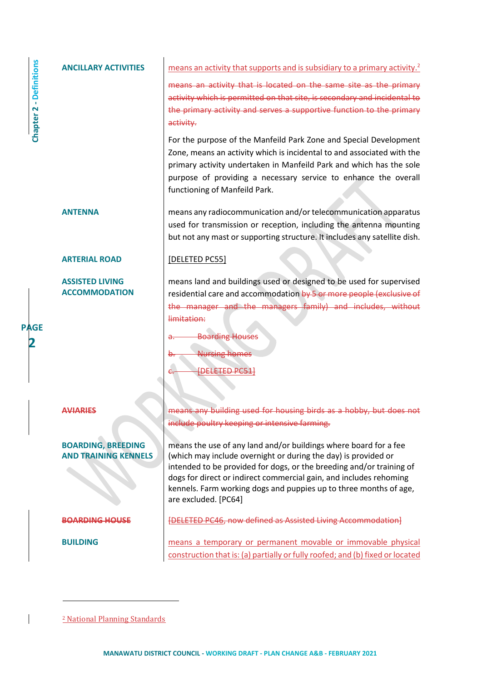$\overline{\phantom{a}}$ 

| <b>ANCILLARY ACTIVITIES</b>                              | means an activity that supports and is subsidiary to a primary activity. <sup>2</sup>                                                                                                                                                                                                                                                                                         |
|----------------------------------------------------------|-------------------------------------------------------------------------------------------------------------------------------------------------------------------------------------------------------------------------------------------------------------------------------------------------------------------------------------------------------------------------------|
|                                                          | means an activity that is located on the same site as the primary<br>activity which is permitted on that site, is secondary and incidental to<br>the primary activity and serves a supportive function to the primary<br>activity.                                                                                                                                            |
|                                                          | For the purpose of the Manfeild Park Zone and Special Development<br>Zone, means an activity which is incidental to and associated with the<br>primary activity undertaken in Manfeild Park and which has the sole<br>purpose of providing a necessary service to enhance the overall<br>functioning of Manfeild Park.                                                        |
| <b>ANTENNA</b>                                           | means any radiocommunication and/or telecommunication apparatus<br>used for transmission or reception, including the antenna mounting<br>but not any mast or supporting structure. It includes any satellite dish.                                                                                                                                                            |
| <b>ARTERIAL ROAD</b>                                     | [DELETED PC55]                                                                                                                                                                                                                                                                                                                                                                |
| <b>ASSISTED LIVING</b><br><b>ACCOMMODATION</b>           | means land and buildings used or designed to be used for supervised<br>residential care and accommodation by 5 or more people (exclusive of<br>the manager and the managers family) and includes, without<br>limitation:<br><b>Boarding Houses</b><br><b>Nursing homes</b>                                                                                                    |
|                                                          | <b>[DELETED PC51]</b>                                                                                                                                                                                                                                                                                                                                                         |
|                                                          | means any building used for housing birds as a hobby, but does not<br>include poultry keeping or intensive farming.                                                                                                                                                                                                                                                           |
| <b>BOARDING, BREEDING</b><br><b>AND TRAINING KENNELS</b> | means the use of any land and/or buildings where board for a fee<br>(which may include overnight or during the day) is provided or<br>intended to be provided for dogs, or the breeding and/or training of<br>dogs for direct or indirect commercial gain, and includes rehoming<br>kennels. Farm working dogs and puppies up to three months of age,<br>are excluded. [PC64] |
| BOARDING HOUSE                                           | [DELETED PC46, now defined as Assisted Living Accommodation]                                                                                                                                                                                                                                                                                                                  |
| <b>BUILDING</b>                                          | means a temporary or permanent movable or immovable physical<br>construction that is: (a) partially or fully roofed; and (b) fixed or located                                                                                                                                                                                                                                 |

<sup>2</sup> National Planning Standards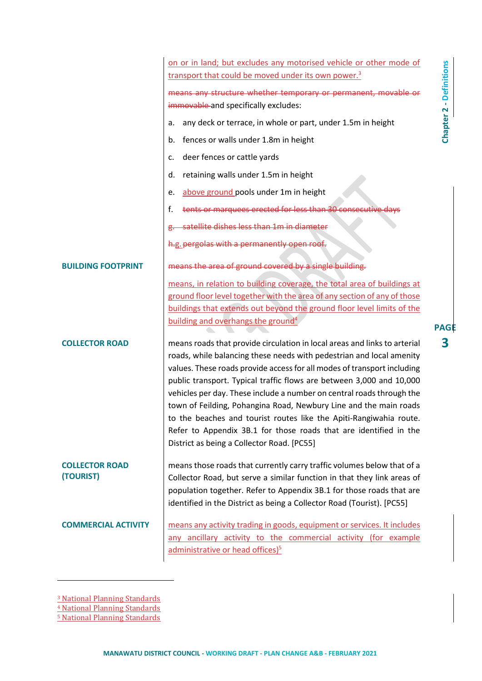|                                    | on or in land; but excludes any motorised vehicle or other mode of<br>transport that could be moved under its own power. <sup>3</sup>                                                                                                                                                                                                                                                                                                                                                                                                                                                                                                       |    |
|------------------------------------|---------------------------------------------------------------------------------------------------------------------------------------------------------------------------------------------------------------------------------------------------------------------------------------------------------------------------------------------------------------------------------------------------------------------------------------------------------------------------------------------------------------------------------------------------------------------------------------------------------------------------------------------|----|
|                                    |                                                                                                                                                                                                                                                                                                                                                                                                                                                                                                                                                                                                                                             |    |
|                                    | means any structure whether temporary or permanent, movable or                                                                                                                                                                                                                                                                                                                                                                                                                                                                                                                                                                              | Ć  |
|                                    | immovable and specifically excludes:                                                                                                                                                                                                                                                                                                                                                                                                                                                                                                                                                                                                        | C  |
|                                    | any deck or terrace, in whole or part, under 1.5m in height<br>a.                                                                                                                                                                                                                                                                                                                                                                                                                                                                                                                                                                           |    |
|                                    | fences or walls under 1.8m in height<br>b.                                                                                                                                                                                                                                                                                                                                                                                                                                                                                                                                                                                                  |    |
|                                    | deer fences or cattle yards<br>c.                                                                                                                                                                                                                                                                                                                                                                                                                                                                                                                                                                                                           |    |
|                                    | retaining walls under 1.5m in height<br>d.                                                                                                                                                                                                                                                                                                                                                                                                                                                                                                                                                                                                  |    |
|                                    | above ground pools under 1m in height<br>е.                                                                                                                                                                                                                                                                                                                                                                                                                                                                                                                                                                                                 |    |
|                                    | f.<br>tents or marquees erected for less than 30 consecutive                                                                                                                                                                                                                                                                                                                                                                                                                                                                                                                                                                                |    |
|                                    | atellite dishes less than 1m in diameter                                                                                                                                                                                                                                                                                                                                                                                                                                                                                                                                                                                                    |    |
|                                    | h.g. pergolas with a permanently open roof.                                                                                                                                                                                                                                                                                                                                                                                                                                                                                                                                                                                                 |    |
| <b>BUILDING FOOTPRINT</b>          | means the area of ground covered by a single building.                                                                                                                                                                                                                                                                                                                                                                                                                                                                                                                                                                                      |    |
|                                    | means, in relation to building coverage, the total area of buildings at<br>ground floor level together with the area of any section of any of those<br>buildings that extends out beyond the ground floor level limits of the<br>building and overhangs the ground <sup>4</sup>                                                                                                                                                                                                                                                                                                                                                             | PA |
| <b>COLLECTOR ROAD</b>              | means roads that provide circulation in local areas and links to arterial<br>roads, while balancing these needs with pedestrian and local amenity<br>values. These roads provide access for all modes of transport including<br>public transport. Typical traffic flows are between 3,000 and 10,000<br>vehicles per day. These include a number on central roads through the<br>town of Feilding, Pohangina Road, Newbury Line and the main roads<br>to the beaches and tourist routes like the Apiti-Rangiwahia route.<br>Refer to Appendix 3B.1 for those roads that are identified in the<br>District as being a Collector Road. [PC55] |    |
| <b>COLLECTOR ROAD</b><br>(TOURIST) | means those roads that currently carry traffic volumes below that of a<br>Collector Road, but serve a similar function in that they link areas of<br>population together. Refer to Appendix 3B.1 for those roads that are<br>identified in the District as being a Collector Road (Tourist). [PC55]                                                                                                                                                                                                                                                                                                                                         |    |
| <b>COMMERCIAL ACTIVITY</b>         | means any activity trading in goods, equipment or services. It includes<br>any ancillary activity to the commercial activity (for example<br>administrative or head offices) <sup>5</sup>                                                                                                                                                                                                                                                                                                                                                                                                                                                   |    |

<sup>&</sup>lt;sup>3</sup> National Planning Standards

<sup>4</sup> National Planning Standards

<sup>5</sup> National Planning Standards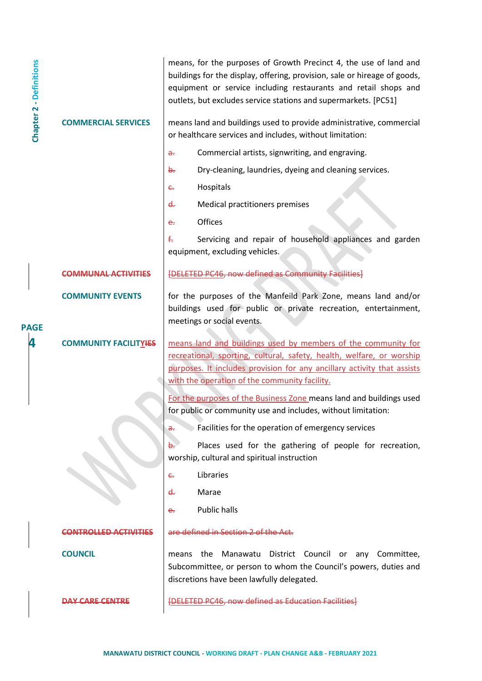| <b>Chapter 2 - Definitions</b> | <b>COMMERCIAL SERVICES</b>   | means, for the purposes of Growth Precinct 4, the use of land and<br>buildings for the display, offering, provision, sale or hireage of goods,<br>equipment or service including restaurants and retail shops and<br>outlets, but excludes service stations and supermarkets. [PC51]<br>means land and buildings used to provide administrative, commercial<br>or healthcare services and includes, without limitation: |
|--------------------------------|------------------------------|-------------------------------------------------------------------------------------------------------------------------------------------------------------------------------------------------------------------------------------------------------------------------------------------------------------------------------------------------------------------------------------------------------------------------|
|                                |                              | Commercial artists, signwriting, and engraving.<br>$\partial$ .                                                                                                                                                                                                                                                                                                                                                         |
|                                |                              | Dry-cleaning, laundries, dyeing and cleaning services.<br><del>b.</del>                                                                                                                                                                                                                                                                                                                                                 |
|                                |                              | Hospitals<br>$\epsilon$ .                                                                                                                                                                                                                                                                                                                                                                                               |
|                                |                              | Medical practitioners premises<br>$\mathbf{d}$ .                                                                                                                                                                                                                                                                                                                                                                        |
|                                |                              | Offices<br>e.                                                                                                                                                                                                                                                                                                                                                                                                           |
|                                |                              | Servicing and repair of household appliances and garden<br>£,<br>equipment, excluding vehicles.                                                                                                                                                                                                                                                                                                                         |
|                                | <u>COMMUNAL ACTIVITIES</u>   | [DELETED PC46, now defined as Community Facilities]                                                                                                                                                                                                                                                                                                                                                                     |
| <b>PAGE</b>                    | <b>COMMUNITY EVENTS</b>      | for the purposes of the Manfeild Park Zone, means land and/or<br>buildings used for public or private recreation, entertainment,<br>meetings or social events.                                                                                                                                                                                                                                                          |
|                                | <b>COMMUNITY FACILITYIES</b> | means land and buildings used by members of the community for<br>recreational, sporting, cultural, safety, health, welfare, or worship<br>purposes. It includes provision for any ancillary activity that assists<br>with the operation of the community facility.                                                                                                                                                      |
|                                |                              | For the purposes of the Business Zone means land and buildings used<br>for public or community use and includes, without limitation:                                                                                                                                                                                                                                                                                    |
|                                |                              | Facilities for the operation of emergency services<br>$a_{\tau}$                                                                                                                                                                                                                                                                                                                                                        |
|                                |                              | Places used for the gathering of people for recreation,<br><del>b.</del><br>worship, cultural and spiritual instruction                                                                                                                                                                                                                                                                                                 |
|                                |                              | Libraries<br>e.                                                                                                                                                                                                                                                                                                                                                                                                         |
|                                |                              | ₫.<br>Marae                                                                                                                                                                                                                                                                                                                                                                                                             |
|                                |                              | <b>Public halls</b><br>$e_{t}$                                                                                                                                                                                                                                                                                                                                                                                          |
|                                | CONTROLLED ACTIVITIES        | are defined in Section 2 of the Act.                                                                                                                                                                                                                                                                                                                                                                                    |
|                                | <b>COUNCIL</b>               | District Council<br>the<br>Manawatu<br>Committee,<br>means<br>or<br>any<br>Subcommittee, or person to whom the Council's powers, duties and<br>discretions have been lawfully delegated.                                                                                                                                                                                                                                |
|                                |                              | [DELETED PC46, now defined as Education Facilities]                                                                                                                                                                                                                                                                                                                                                                     |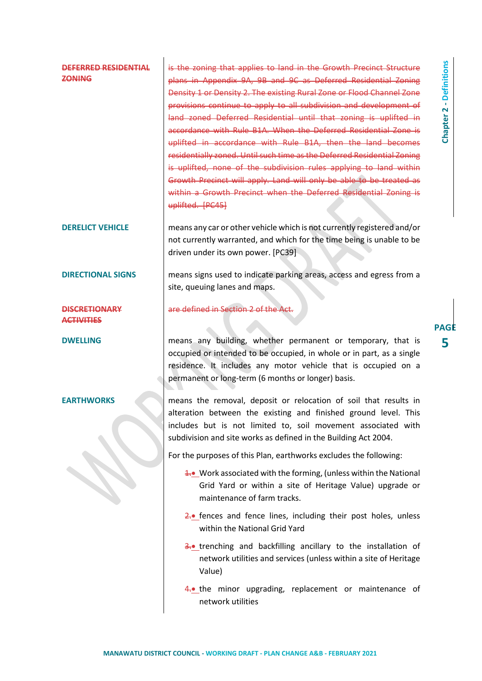#### **DEFERRED RESIDENTIAL ZONING**

**DISCRETIONARY ACTIVITIES**

is the zoning that applies to land in the Growth Precinct Structure plans in Appendix 9A, 9B and 9C as Deferred Residential Zoning Density 1 or Density 2. The existing Rural Zone or Flood Channel Zone provisions continue to apply to all subdivision and development of land zoned Deferred Residential until that zoning is uplifted in accordance with Rule B1A. When the Deferred Residential Zone is uplifted in accordance with Rule B1A, then the land becomes residentially zoned. Until such time as the Deferred Residential Zoning is uplifted, none of the subdivision rules applying to land within Growth Precinct will apply. Land will only be able to be treated as within a Growth Precinct when the Deferred Residential Zoning is uplifted. [PC45]

**DERELICT VEHICLE** means any car or other vehicle which is not currently registered and/or not currently warranted, and which for the time being is unable to be driven under its own power. [PC39]

**DIRECTIONAL SIGNS** means signs used to indicate parking areas, access and egress from a site, queuing lanes and maps.

#### are defined in Section 2 of the Act.

**DWELLING** means any building, whether permanent or temporary, that is occupied or intended to be occupied, in whole or in part, as a single residence. It includes any motor vehicle that is occupied on a permanent or long-term (6 months or longer) basis.

**EARTHWORKS** means the removal, deposit or relocation of soil that results in alteration between the existing and finished ground level. This includes but is not limited to, soil movement associated with subdivision and site works as defined in the Building Act 2004.

For the purposes of this Plan, earthworks excludes the following:

- **1.•** Work associated with the forming, (unless within the National Grid Yard or within a site of Heritage Value) upgrade or maintenance of farm tracks.
- 2.• fences and fence lines, including their post holes, unless within the National Grid Yard
- 3.• trenching and backfilling ancillary to the installation of network utilities and services (unless within a site of Heritage Value)
- 4.• the minor upgrading, replacement or maintenance of network utilities

# **PAGE**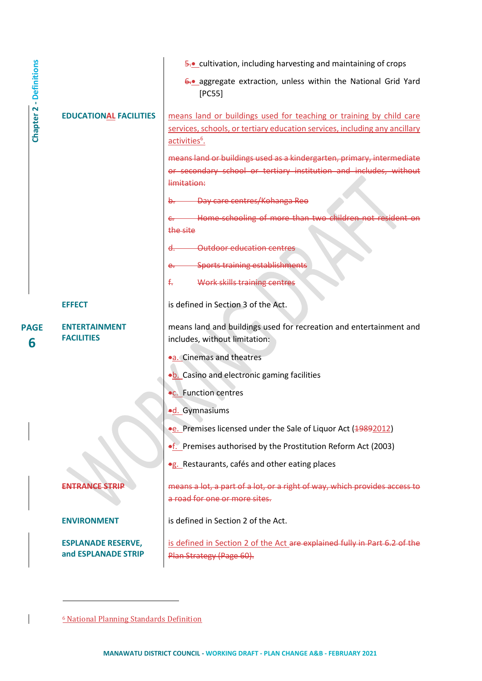|                                |                                           | $\frac{5.0}{2}$ cultivation, including harvesting and maintaining of crops                                                                                                     |
|--------------------------------|-------------------------------------------|--------------------------------------------------------------------------------------------------------------------------------------------------------------------------------|
|                                |                                           | 6. aggregate extraction, unless within the National Grid Yard<br>[PC55]                                                                                                        |
| <b>Chapter 2 - Definitions</b> | <b>EDUCATIONAL FACILITIES</b>             | means land or buildings used for teaching or training by child care<br>services, schools, or tertiary education services, including any ancillary<br>activities <sup>6</sup> . |
|                                |                                           | means land or buildings used as a kindergarten, primary, intermediate<br>or secondary school or tertiary institution and includes, without<br>limitation:                      |
|                                |                                           | Day care centres/Kohanga Reo                                                                                                                                                   |
|                                |                                           | Home-schooling of more than two children not resident on<br>the site                                                                                                           |
|                                |                                           | <b>Outdoor education centres</b><br>€.                                                                                                                                         |
|                                |                                           | <b>Sports training establishments</b>                                                                                                                                          |
|                                |                                           | £.<br>Work skills training centres                                                                                                                                             |
|                                | <b>EFFECT</b>                             | is defined in Section 3 of the Act.                                                                                                                                            |
|                                |                                           |                                                                                                                                                                                |
| <b>PAGE</b><br>6               | <b>ENTERTAINMENT</b><br><b>FACILITIES</b> | means land and buildings used for recreation and entertainment and<br>includes, without limitation:                                                                            |
|                                |                                           | <b>A.</b> Cinemas and theatres                                                                                                                                                 |
|                                |                                           | .b. Casino and electronic gaming facilities                                                                                                                                    |
|                                |                                           | <b>.</b> Function centres                                                                                                                                                      |
|                                |                                           | •d. Gymnasiums                                                                                                                                                                 |
|                                |                                           | <b>.</b> Premises licensed under the Sale of Liquor Act (19892012)                                                                                                             |
|                                |                                           | •f. Premises authorised by the Prostitution Reform Act (2003)                                                                                                                  |
|                                |                                           | •g. Restaurants, cafés and other eating places                                                                                                                                 |
|                                | <b>ENTRANCE STRIP</b>                     | means a lot, a part of a lot, or a right of way, which provides access to<br>a road for one or more sites.                                                                     |
|                                | <b>ENVIRONMENT</b>                        | is defined in Section 2 of the Act.                                                                                                                                            |

 $\begin{array}{c} \hline \end{array}$ 

<sup>6</sup> National Planning Standards Definition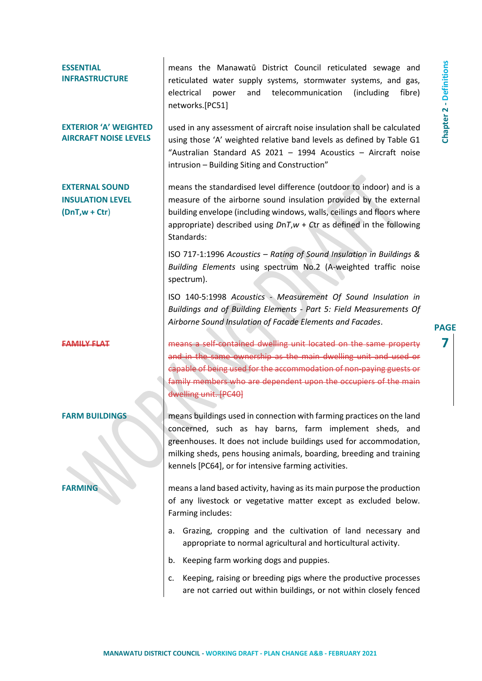| <b>ESSENTIAL</b><br><b>INFRASTRUCTURE</b>                           | means the Manawatū District Council reticulated sewage and<br>reticulated water supply systems, stormwater systems, and gas,<br>electrical<br>and<br>telecommunication<br>(including)<br>fibre)<br>power<br>networks.[PC51]                                                                                                            | <b>Chapter 2 - Definitions</b> |
|---------------------------------------------------------------------|----------------------------------------------------------------------------------------------------------------------------------------------------------------------------------------------------------------------------------------------------------------------------------------------------------------------------------------|--------------------------------|
| <b>EXTERIOR 'A' WEIGHTED</b><br><b>AIRCRAFT NOISE LEVELS</b>        | used in any assessment of aircraft noise insulation shall be calculated<br>using those 'A' weighted relative band levels as defined by Table G1<br>"Australian Standard AS 2021 - 1994 Acoustics - Aircraft noise<br>intrusion - Building Siting and Construction"                                                                     |                                |
| <b>EXTERNAL SOUND</b><br><b>INSULATION LEVEL</b><br>$(DnT,w + Ctr)$ | means the standardised level difference (outdoor to indoor) and is a<br>measure of the airborne sound insulation provided by the external<br>building envelope (including windows, walls, ceilings and floors where<br>appropriate) described using $DnT, w + Ctr$ as defined in the following<br>Standards:                           |                                |
|                                                                     | ISO 717-1:1996 Acoustics - Rating of Sound Insulation in Buildings &<br>Building Elements using spectrum No.2 (A-weighted traffic noise<br>spectrum).                                                                                                                                                                                  |                                |
|                                                                     | ISO 140-5:1998 Acoustics - Measurement Of Sound Insulation in<br>Buildings and of Building Elements - Part 5: Field Measurements Of<br>Airborne Sound Insulation of Facade Elements and Facades.                                                                                                                                       | <b>PAGE</b>                    |
|                                                                     | means a self-contained dwelling unit located on the same property<br>and in the same ownership as the main dwelling unit and used or<br>capable of being used for the accommodation of non-paying guests or<br>family members who are dependent upon the occupiers of the main<br>dwelling unit. [PC40]                                | 7                              |
| <b>FARM BUILDINGS</b>                                               | means buildings used in connection with farming practices on the land<br>concerned, such as hay barns, farm implement sheds, and<br>greenhouses. It does not include buildings used for accommodation,<br>milking sheds, pens housing animals, boarding, breeding and training<br>kennels [PC64], or for intensive farming activities. |                                |
| FARMING                                                             | means a land based activity, having as its main purpose the production<br>of any livestock or vegetative matter except as excluded below.<br>Farming includes:                                                                                                                                                                         |                                |
|                                                                     | Grazing, cropping and the cultivation of land necessary and<br>а.<br>appropriate to normal agricultural and horticultural activity.                                                                                                                                                                                                    |                                |
|                                                                     | Keeping farm working dogs and puppies.<br>b.                                                                                                                                                                                                                                                                                           |                                |
|                                                                     | Keeping, raising or breeding pigs where the productive processes<br>c.<br>are not carried out within buildings, or not within closely fenced                                                                                                                                                                                           |                                |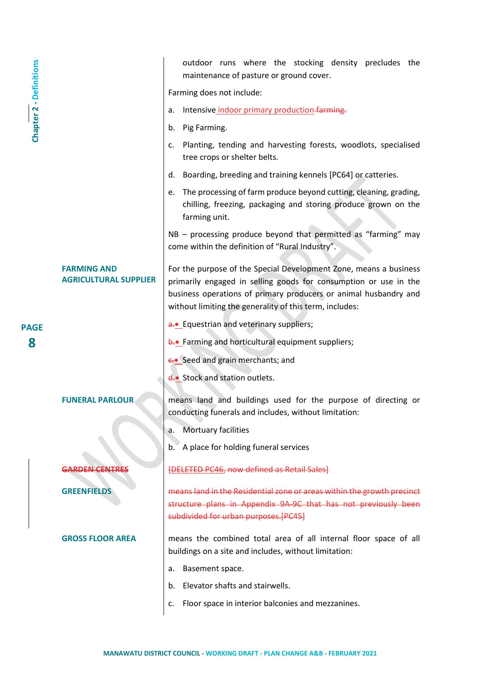| <b>Chapter 2 - Definitions</b> |                                                    | outdoor runs where the stocking density precludes the<br>maintenance of pasture or ground cover.                                                                                                                                                                     |
|--------------------------------|----------------------------------------------------|----------------------------------------------------------------------------------------------------------------------------------------------------------------------------------------------------------------------------------------------------------------------|
|                                |                                                    | Farming does not include:                                                                                                                                                                                                                                            |
|                                |                                                    | Intensive indoor primary production farming.<br>a.                                                                                                                                                                                                                   |
|                                |                                                    | Pig Farming.<br>b.                                                                                                                                                                                                                                                   |
|                                |                                                    | Planting, tending and harvesting forests, woodlots, specialised<br>c.<br>tree crops or shelter belts.                                                                                                                                                                |
|                                |                                                    | Boarding, breeding and training kennels [PC64] or catteries.<br>d.                                                                                                                                                                                                   |
|                                |                                                    | The processing of farm produce beyond cutting, cleaning, grading,<br>e.<br>chilling, freezing, packaging and storing produce grown on the<br>farming unit.                                                                                                           |
|                                |                                                    | NB - processing produce beyond that permitted as "farming" may<br>come within the definition of "Rural Industry".                                                                                                                                                    |
|                                | <b>FARMING AND</b><br><b>AGRICULTURAL SUPPLIER</b> | For the purpose of the Special Development Zone, means a business<br>primarily engaged in selling goods for consumption or use in the<br>business operations of primary producers or animal husbandry and<br>without limiting the generality of this term, includes: |
| <b>PAGE</b>                    |                                                    | a. Equestrian and veterinary suppliers;                                                                                                                                                                                                                              |
| 8                              |                                                    | <b>b.</b> Farming and horticultural equipment suppliers;                                                                                                                                                                                                             |
|                                |                                                    | e. Seed and grain merchants; and                                                                                                                                                                                                                                     |
|                                |                                                    | d. Stock and station outlets.                                                                                                                                                                                                                                        |
|                                | <b>FUNERAL PARLOUR</b>                             | means land and buildings used for the purpose of directing or<br>conducting funerals and includes, without limitation:                                                                                                                                               |
|                                |                                                    | Mortuary facilities<br>a.                                                                                                                                                                                                                                            |
|                                |                                                    | b. A place for holding funeral services                                                                                                                                                                                                                              |
|                                | <b>GARDEN CENTRES</b>                              | [DELETED PC46, now defined as Retail Sales]                                                                                                                                                                                                                          |
|                                | <b>GREENFIELDS</b>                                 | means land in the Residential zone or areas within the growth precinct<br>structure plans in Appendix 9A-9C that has not previously been<br>subdivided for urban purposes.[PC45]                                                                                     |
|                                | <b>GROSS FLOOR AREA</b>                            | means the combined total area of all internal floor space of all<br>buildings on a site and includes, without limitation:                                                                                                                                            |
|                                |                                                    | Basement space.<br>a.                                                                                                                                                                                                                                                |
|                                |                                                    | Elevator shafts and stairwells.<br>b.                                                                                                                                                                                                                                |
|                                |                                                    | Floor space in interior balconies and mezzanines.<br>c.                                                                                                                                                                                                              |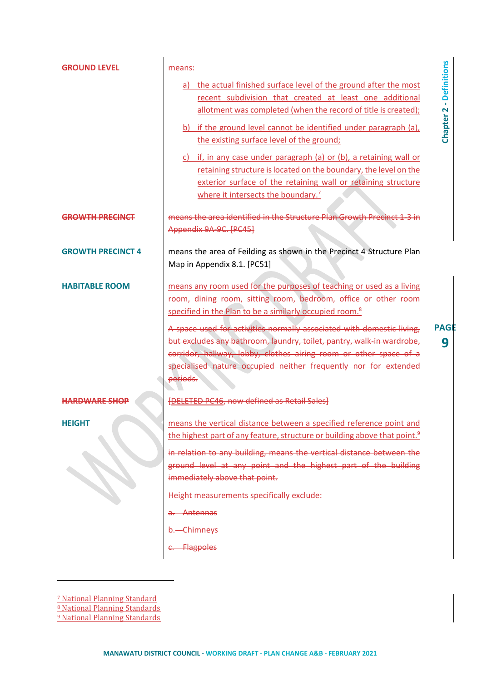| <b>GROUND LEVEL</b>      | <b>Chapter 2 - Definitions</b><br>means:<br>the actual finished surface level of the ground after the most<br>a)<br>recent subdivision that created at least one additional<br>allotment was completed (when the record of title is created);<br>b) if the ground level cannot be identified under paragraph (a),<br>the existing surface level of the ground;<br>c) if, in any case under paragraph (a) or (b), a retaining wall or<br>retaining structure is located on the boundary, the level on the<br>exterior surface of the retaining wall or retaining structure<br>where it intersects the boundary. <sup>7</sup> |
|--------------------------|-----------------------------------------------------------------------------------------------------------------------------------------------------------------------------------------------------------------------------------------------------------------------------------------------------------------------------------------------------------------------------------------------------------------------------------------------------------------------------------------------------------------------------------------------------------------------------------------------------------------------------|
| <b>GROWTH PRECINCT</b>   | means the area identified in the Structure Plan Growth Precinct 1-3 in<br>Appendix 9A-9C. [PC45]                                                                                                                                                                                                                                                                                                                                                                                                                                                                                                                            |
| <b>GROWTH PRECINCT 4</b> | means the area of Feilding as shown in the Precinct 4 Structure Plan<br>Map in Appendix 8.1. [PC51]                                                                                                                                                                                                                                                                                                                                                                                                                                                                                                                         |
| <b>HABITABLE ROOM</b>    | means any room used for the purposes of teaching or used as a living<br>room, dining room, sitting room, bedroom, office or other room<br>specified in the Plan to be a similarly occupied room. <sup>8</sup><br><b>PAGE</b><br>A space used for activities normally associated with domestic living,<br>but excludes any bathroom, laundry, toilet, pantry, walk-in wardrobe,<br>9<br>corridor, hallway, lobby, clothes airing room or other space of a<br>specialised nature occupied neither frequently nor for extended<br>periods.                                                                                     |
| <u>DNMADE CUAD</u>       | <b>{DELETED PC46, now defined as Retail Sales}</b>                                                                                                                                                                                                                                                                                                                                                                                                                                                                                                                                                                          |
| <b>HEIGHT</b>            | means the vertical distance between a specified reference point and<br>the highest part of any feature, structure or building above that point. <sup>9</sup><br>in relation to any building, means the vertical distance between the<br>ground level at any point and the highest part of the building<br>immediately above that point.<br>Height measurements specifically exclude:<br>a. Antennas<br><b>Chimneys</b><br><b>Flagpoles</b>                                                                                                                                                                                  |

<sup>7</sup> National Planning Standard

<sup>8</sup> National Planning Standards

**<sup>9</sup> National Planning Standards**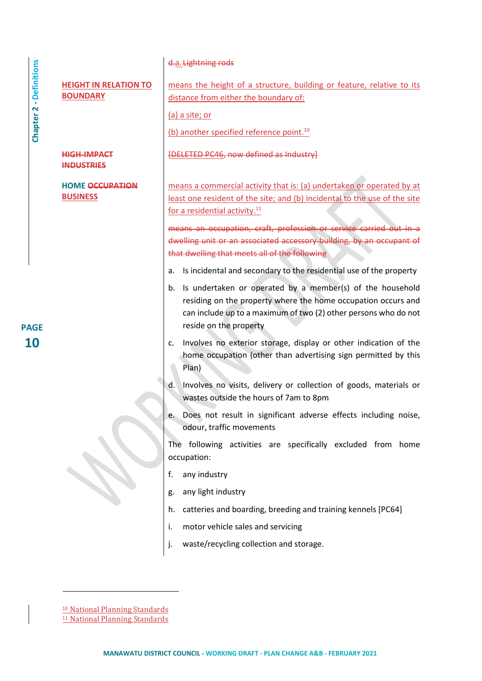|    |                                |                                                 | d.a. Lightning rods                                                                                                                                                                                                                                                                                                                           |
|----|--------------------------------|-------------------------------------------------|-----------------------------------------------------------------------------------------------------------------------------------------------------------------------------------------------------------------------------------------------------------------------------------------------------------------------------------------------|
|    | <b>Chapter 2 - Definitions</b> | <b>HEIGHT IN RELATION TO</b><br><b>BOUNDARY</b> | means the height of a structure, building or feature, relative to its<br>distance from either the boundary of:                                                                                                                                                                                                                                |
|    |                                |                                                 | (a) a site; or                                                                                                                                                                                                                                                                                                                                |
|    |                                |                                                 | (b) another specified reference point. <sup>10</sup>                                                                                                                                                                                                                                                                                          |
|    |                                | <del>HIGH IMPACT</del><br><b>INDUSTRIES</b>     | [DELETED PC46, now defined as Industry]                                                                                                                                                                                                                                                                                                       |
|    |                                | <b>HOME OCCUPATION</b><br><b>BUSINESS</b>       | means a commercial activity that is: (a) undertaken or operated by at<br>least one resident of the site; and (b) incidental to the use of the site<br>for a residential activity. <sup>11</sup><br>means an occupation, craft, profession or service carried out in a<br>dwelling unit or an associated accessory building, by an occupant of |
|    |                                |                                                 | that dwelling that meets all of the following                                                                                                                                                                                                                                                                                                 |
|    |                                |                                                 | Is incidental and secondary to the residential use of the property<br>a.                                                                                                                                                                                                                                                                      |
|    | <b>PAGE</b>                    |                                                 | Is undertaken or operated by a member(s) of the household<br>b.<br>residing on the property where the home occupation occurs and<br>can include up to a maximum of two (2) other persons who do not<br>reside on the property                                                                                                                 |
| 10 |                                |                                                 | Involves no exterior storage, display or other indication of the<br>c.<br>home occupation (other than advertising sign permitted by this<br>Plan)                                                                                                                                                                                             |
|    |                                |                                                 | Involves no visits, delivery or collection of goods, materials or<br>d.<br>wastes outside the hours of 7am to 8pm                                                                                                                                                                                                                             |
|    |                                |                                                 | e. Does not result in significant adverse effects including noise,<br>odour, traffic movements                                                                                                                                                                                                                                                |
|    |                                |                                                 | The following activities are specifically excluded from home<br>occupation:                                                                                                                                                                                                                                                                   |
|    |                                |                                                 | any industry<br>f.                                                                                                                                                                                                                                                                                                                            |
|    |                                |                                                 | any light industry<br>g.                                                                                                                                                                                                                                                                                                                      |
|    |                                |                                                 | catteries and boarding, breeding and training kennels [PC64]<br>h.                                                                                                                                                                                                                                                                            |
|    |                                |                                                 | motor vehicle sales and servicing<br>i.                                                                                                                                                                                                                                                                                                       |
|    |                                |                                                 | waste/recycling collection and storage.<br>j.                                                                                                                                                                                                                                                                                                 |
|    |                                |                                                 |                                                                                                                                                                                                                                                                                                                                               |

<sup>10</sup> National Planning Standards 11 National Planning Standards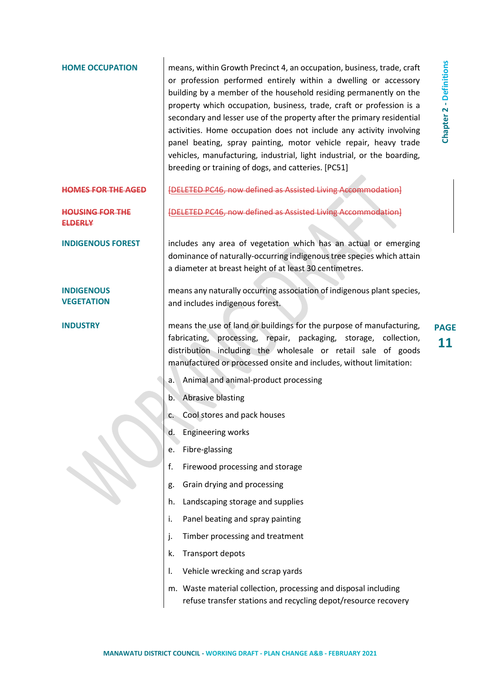| <b>HOME OCCUPATION</b>                   | <b>Chapter 2 - Definitions</b><br>means, within Growth Precinct 4, an occupation, business, trade, craft<br>or profession performed entirely within a dwelling or accessory<br>building by a member of the household residing permanently on the<br>property which occupation, business, trade, craft or profession is a<br>secondary and lesser use of the property after the primary residential<br>activities. Home occupation does not include any activity involving<br>panel beating, spray painting, motor vehicle repair, heavy trade<br>vehicles, manufacturing, industrial, light industrial, or the boarding,<br>breeding or training of dogs, and catteries. [PC51] |
|------------------------------------------|---------------------------------------------------------------------------------------------------------------------------------------------------------------------------------------------------------------------------------------------------------------------------------------------------------------------------------------------------------------------------------------------------------------------------------------------------------------------------------------------------------------------------------------------------------------------------------------------------------------------------------------------------------------------------------|
| HOMES FOR THE AGED                       | [DELETED PC46, now defined as Assisted Living Accommodation]                                                                                                                                                                                                                                                                                                                                                                                                                                                                                                                                                                                                                    |
| <b>HOUSING FOR THE</b><br><b>ELDERLY</b> | [DELETED PC46, now defined as Assisted Living Accommodation]                                                                                                                                                                                                                                                                                                                                                                                                                                                                                                                                                                                                                    |
| <b>INDIGENOUS FOREST</b>                 | includes any area of vegetation which has an actual or emerging<br>dominance of naturally-occurring indigenous tree species which attain<br>a diameter at breast height of at least 30 centimetres.                                                                                                                                                                                                                                                                                                                                                                                                                                                                             |
| <b>INDIGENOUS</b><br><b>VEGETATION</b>   | means any naturally occurring association of indigenous plant species,<br>and includes indigenous forest.                                                                                                                                                                                                                                                                                                                                                                                                                                                                                                                                                                       |
| <b>INDUSTRY</b>                          | means the use of land or buildings for the purpose of manufacturing,<br><b>PAGE</b><br>fabricating, processing, repair, packaging, storage, collection,<br>11<br>distribution including the wholesale or retail sale of goods<br>manufactured or processed onsite and includes, without limitation:                                                                                                                                                                                                                                                                                                                                                                             |
|                                          | Animal and animal-product processing<br>а.                                                                                                                                                                                                                                                                                                                                                                                                                                                                                                                                                                                                                                      |
|                                          | Abrasive blasting<br>b.                                                                                                                                                                                                                                                                                                                                                                                                                                                                                                                                                                                                                                                         |
|                                          | Cool stores and pack houses                                                                                                                                                                                                                                                                                                                                                                                                                                                                                                                                                                                                                                                     |
|                                          | <b>Engineering works</b><br>d.                                                                                                                                                                                                                                                                                                                                                                                                                                                                                                                                                                                                                                                  |
|                                          | Fibre-glassing<br>e.                                                                                                                                                                                                                                                                                                                                                                                                                                                                                                                                                                                                                                                            |
|                                          | f.<br>Firewood processing and storage                                                                                                                                                                                                                                                                                                                                                                                                                                                                                                                                                                                                                                           |
|                                          | Grain drying and processing<br>g.                                                                                                                                                                                                                                                                                                                                                                                                                                                                                                                                                                                                                                               |
|                                          | Landscaping storage and supplies<br>h.                                                                                                                                                                                                                                                                                                                                                                                                                                                                                                                                                                                                                                          |
|                                          | Panel beating and spray painting<br>i.                                                                                                                                                                                                                                                                                                                                                                                                                                                                                                                                                                                                                                          |
|                                          | Timber processing and treatment<br>j.                                                                                                                                                                                                                                                                                                                                                                                                                                                                                                                                                                                                                                           |
|                                          | Transport depots<br>k.                                                                                                                                                                                                                                                                                                                                                                                                                                                                                                                                                                                                                                                          |
|                                          | Vehicle wrecking and scrap yards<br>Ι.                                                                                                                                                                                                                                                                                                                                                                                                                                                                                                                                                                                                                                          |
|                                          | m. Waste material collection, processing and disposal including<br>refuse transfer stations and recycling depot/resource recovery                                                                                                                                                                                                                                                                                                                                                                                                                                                                                                                                               |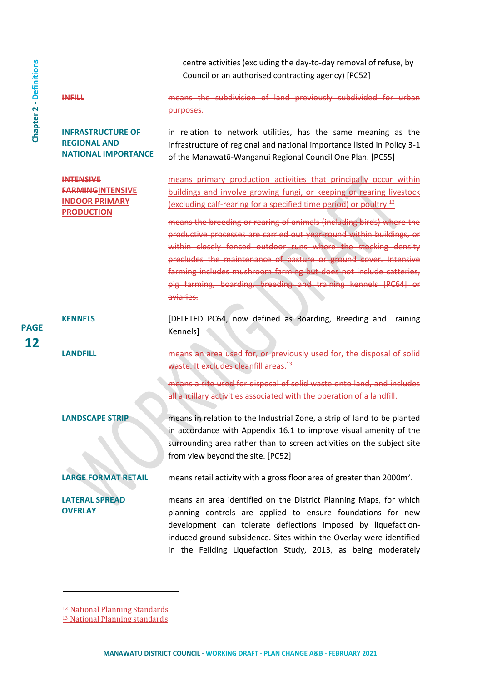|                                |                                                                                           | centre activities (excluding the day-to-day removal of refuse, by<br>Council or an authorised contracting agency) [PC52]                                                                                                                                                                                                                                                                                                             |
|--------------------------------|-------------------------------------------------------------------------------------------|--------------------------------------------------------------------------------------------------------------------------------------------------------------------------------------------------------------------------------------------------------------------------------------------------------------------------------------------------------------------------------------------------------------------------------------|
| <b>Chapter 2 - Definitions</b> | <b>INEILL</b>                                                                             | means the subdivision of land previously subdivided for urban<br>purposes.                                                                                                                                                                                                                                                                                                                                                           |
|                                | <b>INFRASTRUCTURE OF</b><br><b>REGIONAL AND</b><br><b>NATIONAL IMPORTANCE</b>             | in relation to network utilities, has the same meaning as the<br>infrastructure of regional and national importance listed in Policy 3-1<br>of the Manawatū-Wanganui Regional Council One Plan. [PC55]                                                                                                                                                                                                                               |
|                                | <b>INTENSIVE</b><br><b>FARMINGINTENSIVE</b><br><b>INDOOR PRIMARY</b><br><b>PRODUCTION</b> | means primary production activities that principally occur within<br>buildings and involve growing fungi, or keeping or rearing livestock<br>(excluding calf-rearing for a specified time period) or poultry. <sup>12</sup>                                                                                                                                                                                                          |
|                                |                                                                                           | means the breeding or rearing of animals (including birds) where the<br>productive processes are carried out year-round within buildings, or<br>within closely fenced outdoor runs where the stocking density<br>precludes the maintenance of pasture or ground cover. Intensive<br>farming includes mushroom farming but does not include catteries,<br>pig farming, boarding, breeding and training kennels [PC64] or<br>aviaries. |
| <b>PAGE</b><br>12              | <b>KENNELS</b>                                                                            | [DELETED PC64, now defined as Boarding, Breeding and Training<br>Kennels]                                                                                                                                                                                                                                                                                                                                                            |
|                                | <b>LANDFILL</b>                                                                           | means an area used for, or previously used for, the disposal of solid<br>waste. It excludes cleanfill areas. <sup>13</sup>                                                                                                                                                                                                                                                                                                           |
|                                |                                                                                           | means a site used for disposal of solid waste onto land, and includes<br>all ancillary activities associated with the operation of a landfill.                                                                                                                                                                                                                                                                                       |
|                                | <b>LANDSCAPE STRIP</b>                                                                    | means in relation to the Industrial Zone, a strip of land to be planted<br>in accordance with Appendix 16.1 to improve visual amenity of the<br>surrounding area rather than to screen activities on the subject site<br>from view beyond the site. [PC52]                                                                                                                                                                           |
|                                | <b>LARGE FORMAT RETAIL</b>                                                                | means retail activity with a gross floor area of greater than 2000m <sup>2</sup> .                                                                                                                                                                                                                                                                                                                                                   |
|                                | <b>LATERAL SPREAD</b><br><b>OVERLAY</b>                                                   | means an area identified on the District Planning Maps, for which<br>planning controls are applied to ensure foundations for new<br>development can tolerate deflections imposed by liquefaction-<br>induced ground subsidence. Sites within the Overlay were identified<br>in the Feilding Liquefaction Study, 2013, as being moderately                                                                                            |

<sup>12</sup> National Planning Standards

<sup>13</sup> National Planning standards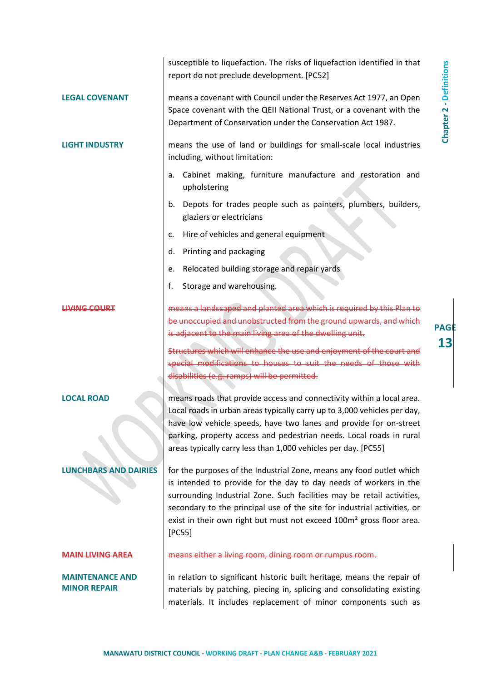|                                               | susceptible to liquefaction. The risks of liquefaction identified in that<br>report do not preclude development. [PC52]                                                                                                                                                                                                                                                                       |                                |
|-----------------------------------------------|-----------------------------------------------------------------------------------------------------------------------------------------------------------------------------------------------------------------------------------------------------------------------------------------------------------------------------------------------------------------------------------------------|--------------------------------|
| <b>LEGAL COVENANT</b>                         | means a covenant with Council under the Reserves Act 1977, an Open<br>Space covenant with the QEII National Trust, or a covenant with the<br>Department of Conservation under the Conservation Act 1987.                                                                                                                                                                                      | <b>Chapter 2 - Definitions</b> |
| <b>LIGHT INDUSTRY</b>                         | means the use of land or buildings for small-scale local industries<br>including, without limitation:                                                                                                                                                                                                                                                                                         |                                |
|                                               | Cabinet making, furniture manufacture and restoration and<br>а.<br>upholstering                                                                                                                                                                                                                                                                                                               |                                |
|                                               | b. Depots for trades people such as painters, plumbers, builders,<br>glaziers or electricians                                                                                                                                                                                                                                                                                                 |                                |
|                                               | Hire of vehicles and general equipment<br>c.                                                                                                                                                                                                                                                                                                                                                  |                                |
|                                               | Printing and packaging<br>d.                                                                                                                                                                                                                                                                                                                                                                  |                                |
|                                               | Relocated building storage and repair yards<br>e.                                                                                                                                                                                                                                                                                                                                             |                                |
|                                               | Storage and warehousing.<br>f.                                                                                                                                                                                                                                                                                                                                                                |                                |
| <b>LIVING COURT</b>                           | means a landscaped and planted area which is required by this Plan to<br>be unoccupied and unobstructed from the ground upwards, and which<br>is adjacent to the main living area of the dwelling unit.                                                                                                                                                                                       | <b>PAGE</b>                    |
|                                               | Structures which will enhance the use and enjoyment of the court and<br>special modifications to houses to suit the needs of those with<br>disabilities (e.g. ramps) will be permitted.                                                                                                                                                                                                       | 13                             |
| <b>LOCAL ROAD</b>                             | means roads that provide access and connectivity within a local area.<br>Local roads in urban areas typically carry up to 3,000 vehicles per day,<br>have low vehicle speeds, have two lanes and provide for on-street<br>parking, property access and pedestrian needs. Local roads in rural<br>areas typically carry less than 1,000 vehicles per day. [PC55]                               |                                |
| <b>LUNCHBARS AND DAIRIES</b>                  | for the purposes of the Industrial Zone, means any food outlet which<br>is intended to provide for the day to day needs of workers in the<br>surrounding Industrial Zone. Such facilities may be retail activities,<br>secondary to the principal use of the site for industrial activities, or<br>exist in their own right but must not exceed 100m <sup>2</sup> gross floor area.<br>[PC55] |                                |
| <u>AIN LIVING APE</u>                         | means either a living room, dining room or rumpus room.                                                                                                                                                                                                                                                                                                                                       |                                |
| <b>MAINTENANCE AND</b><br><b>MINOR REPAIR</b> | in relation to significant historic built heritage, means the repair of<br>materials by patching, piecing in, splicing and consolidating existing<br>materials. It includes replacement of minor components such as                                                                                                                                                                           |                                |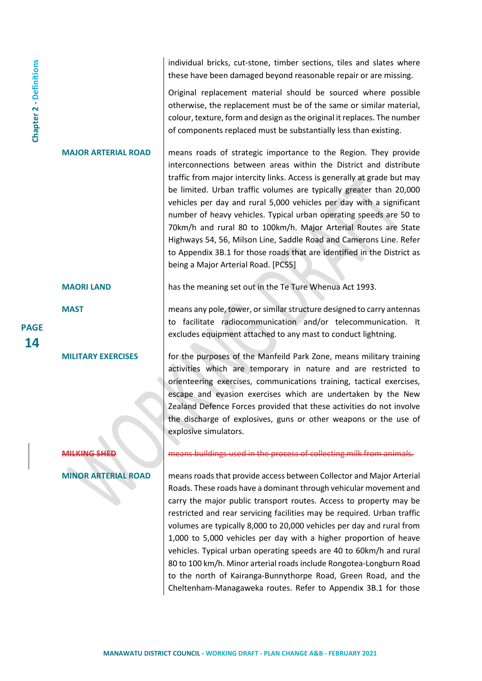| <b>MAJOR ARTERIAL ROAD</b> | individual bricks, cut-stone, timber sections, tiles and slates where<br>these have been damaged beyond reasonable repair or are missing.<br>Original replacement material should be sourced where possible<br>otherwise, the replacement must be of the same or similar material,<br>colour, texture, form and design as the original it replaces. The number<br>of components replaced must be substantially less than existing.<br>means roads of strategic importance to the Region. They provide                                                                                                                                                                                                                      |
|----------------------------|----------------------------------------------------------------------------------------------------------------------------------------------------------------------------------------------------------------------------------------------------------------------------------------------------------------------------------------------------------------------------------------------------------------------------------------------------------------------------------------------------------------------------------------------------------------------------------------------------------------------------------------------------------------------------------------------------------------------------|
|                            | interconnections between areas within the District and distribute<br>traffic from major intercity links. Access is generally at grade but may<br>be limited. Urban traffic volumes are typically greater than 20,000<br>vehicles per day and rural 5,000 vehicles per day with a significant<br>number of heavy vehicles. Typical urban operating speeds are 50 to<br>70km/h and rural 80 to 100km/h. Major Arterial Routes are State<br>Highways 54, 56, Milson Line, Saddle Road and Camerons Line. Refer<br>to Appendix 3B.1 for those roads that are identified in the District as<br>being a Major Arterial Road. [PC55]                                                                                              |
| <b>MAORI LAND</b>          | has the meaning set out in the Te Ture Whenua Act 1993.                                                                                                                                                                                                                                                                                                                                                                                                                                                                                                                                                                                                                                                                    |
| <b>MAST</b>                | means any pole, tower, or similar structure designed to carry antennas<br>to facilitate radiocommunication and/or telecommunication. It<br>excludes equipment attached to any mast to conduct lightning.                                                                                                                                                                                                                                                                                                                                                                                                                                                                                                                   |
| <b>MILITARY EXERCISES</b>  | for the purposes of the Manfeild Park Zone, means military training<br>activities which are temporary in nature and are restricted to<br>orienteering exercises, communications training, tactical exercises,<br>escape and evasion exercises which are undertaken by the New<br>Zealand Defence Forces provided that these activities do not involve<br>the discharge of explosives, guns or other weapons or the use of<br>explosive simulators.                                                                                                                                                                                                                                                                         |
| <b>MILKING SHEE</b>        | means buildings used in the process of collecting milk from animals.                                                                                                                                                                                                                                                                                                                                                                                                                                                                                                                                                                                                                                                       |
| <b>MINOR ARTERIAL ROAD</b> | means roads that provide access between Collector and Major Arterial<br>Roads. These roads have a dominant through vehicular movement and<br>carry the major public transport routes. Access to property may be<br>restricted and rear servicing facilities may be required. Urban traffic<br>volumes are typically 8,000 to 20,000 vehicles per day and rural from<br>1,000 to 5,000 vehicles per day with a higher proportion of heave<br>vehicles. Typical urban operating speeds are 40 to 60km/h and rural<br>80 to 100 km/h. Minor arterial roads include Rongotea-Longburn Road<br>to the north of Kairanga-Bunnythorpe Road, Green Road, and the<br>Cheltenham-Managaweka routes. Refer to Appendix 3B.1 for those |
|                            |                                                                                                                                                                                                                                                                                                                                                                                                                                                                                                                                                                                                                                                                                                                            |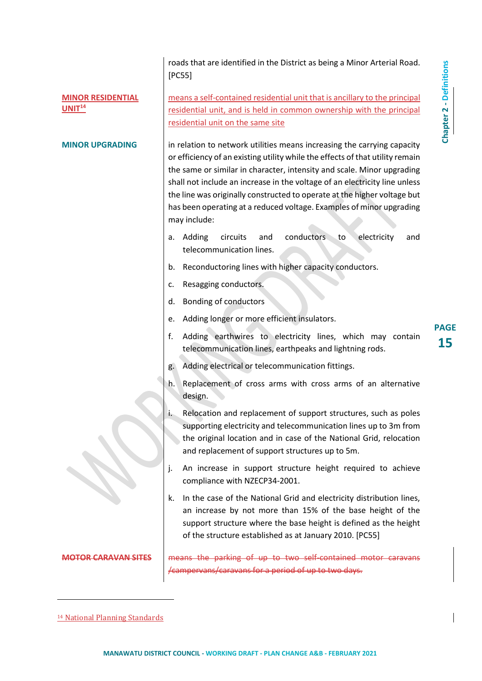roads that are identified in the District as being a Minor Arterial Road. [PC55] **MINOR RESIDENTIAL UNIT<sup>14</sup>** means a self-contained residential unit that is ancillary to the principal residential unit, and is held in common ownership with the principal residential unit on the same site **MINOR UPGRADING** in relation to network utilities means increasing the carrying capacity or efficiency of an existing utility while the effects of that utility remain the same or similar in character, intensity and scale. Minor upgrading shall not include an increase in the voltage of an electricity line unless the line was originally constructed to operate at the higher voltage but has been operating at a reduced voltage. Examples of minor upgrading may include: a. Adding circuits and conductors to electricity and telecommunication lines. b. Reconductoring lines with higher capacity conductors. c. Resagging conductors. d. Bonding of conductors e. Adding longer or more efficient insulators. f. Adding earthwires to electricity lines, which may contain telecommunication lines, earthpeaks and lightning rods. g. Adding electrical or telecommunication fittings. h. Replacement of cross arms with cross arms of an alternative design. i. Relocation and replacement of support structures, such as poles supporting electricity and telecommunication lines up to 3m from the original location and in case of the National Grid, relocation and replacement of support structures up to 5m. j. An increase in support structure height required to achieve compliance with NZECP34-2001. k. In the case of the National Grid and electricity distribution lines, an increase by not more than 15% of the base height of the support structure where the base height is defined as the height of the structure established as at January 2010. [PC55] **MOTOR CARAVAN SITES** means the parking of up to two self-contained motor caravans /campervans/caravans for a period of up to two days.

<sup>14</sup> National Planning Standards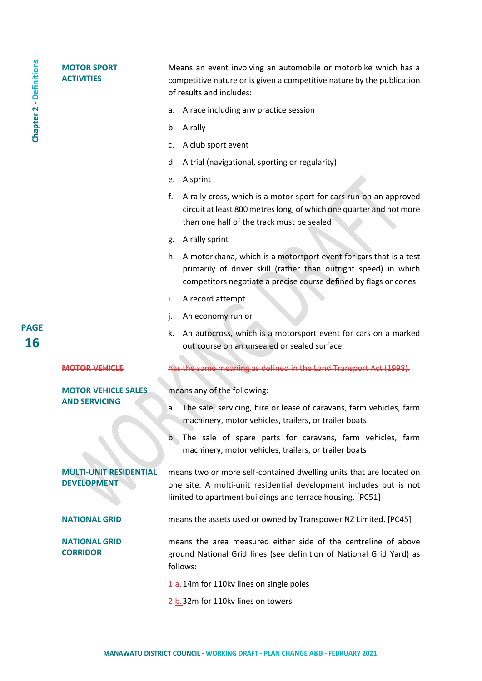| <b>Chapter 2 - Definitions</b> | <b>MOTOR SPORT</b><br><b>ACTIVITIES</b>             | Means an event involving an automobile or motorbike which has a<br>competitive nature or is given a competitive nature by the publication<br>of results and includes:                                          |
|--------------------------------|-----------------------------------------------------|----------------------------------------------------------------------------------------------------------------------------------------------------------------------------------------------------------------|
|                                |                                                     | A race including any practice session<br>a.                                                                                                                                                                    |
|                                |                                                     | A rally<br>b.                                                                                                                                                                                                  |
|                                |                                                     | A club sport event<br>c.                                                                                                                                                                                       |
|                                |                                                     | A trial (navigational, sporting or regularity)<br>d.                                                                                                                                                           |
|                                |                                                     | A sprint<br>e.                                                                                                                                                                                                 |
|                                |                                                     | A rally cross, which is a motor sport for cars run on an approved<br>f.<br>circuit at least 800 metres long, of which one quarter and not more<br>than one half of the track must be sealed                    |
|                                |                                                     | A rally sprint<br>g.                                                                                                                                                                                           |
|                                |                                                     | A motorkhana, which is a motorsport event for cars that is a test<br>h.<br>primarily of driver skill (rather than outright speed) in which<br>competitors negotiate a precise course defined by flags or cones |
|                                |                                                     | A record attempt<br>i.                                                                                                                                                                                         |
|                                |                                                     | j.<br>An economy run or                                                                                                                                                                                        |
| <b>PAGE</b><br><b>16</b>       |                                                     | An autocross, which is a motorsport event for cars on a marked<br>k.<br>out course on an unsealed or sealed surface.                                                                                           |
|                                | AOTOR VEHICLE                                       | has the same meaning as defined in the Land Transport Act (1998).                                                                                                                                              |
|                                | <b>MOTOR VEHICLE SALES</b><br><b>AND SERVICING</b>  | means any of the following:                                                                                                                                                                                    |
|                                |                                                     | The sale, servicing, hire or lease of caravans, farm vehicles, farm<br>a.<br>machinery, motor vehicles, trailers, or trailer boats                                                                             |
|                                |                                                     | b. The sale of spare parts for caravans, farm vehicles, farm<br>machinery, motor vehicles, trailers, or trailer boats                                                                                          |
|                                | <b>MULTI-UNIT RESIDENTIAL</b><br><b>DEVELOPMENT</b> | means two or more self-contained dwelling units that are located on<br>one site. A multi-unit residential development includes but is not<br>limited to apartment buildings and terrace housing. [PC51]        |
|                                | <b>NATIONAL GRID</b>                                | means the assets used or owned by Transpower NZ Limited. [PC45]                                                                                                                                                |
|                                | <b>NATIONAL GRID</b><br><b>CORRIDOR</b>             | means the area measured either side of the centreline of above<br>ground National Grid lines (see definition of National Grid Yard) as<br>follows:                                                             |
|                                |                                                     | 1.a. 14m for 110kv lines on single poles                                                                                                                                                                       |
|                                |                                                     | 2.b.32m for 110kv lines on towers                                                                                                                                                                              |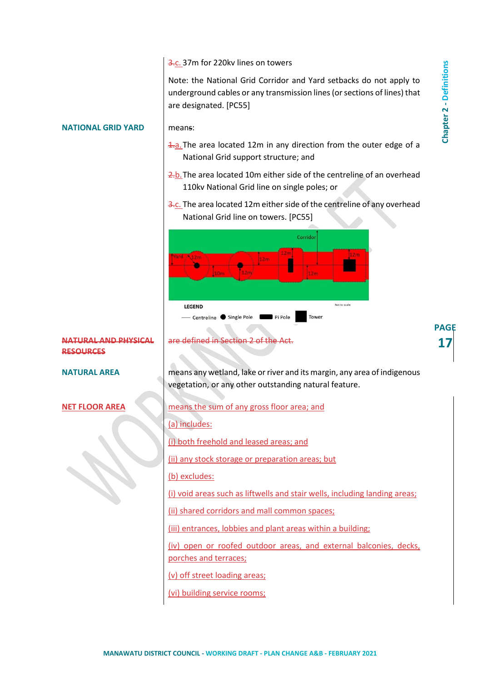#### 3.c. 37m for 220kv lines on towers

Note: the National Grid Corridor and Yard setbacks do not apply to underground cables or any transmission lines (or sections of lines) that are designated. [PC55]

#### **NATIONAL GRID YARD** means:

- 1.a. The area located 12m in any direction from the outer edge of a National Grid support structure; and
- 2.b. The area located 10m either side of the centreline of an overhead 110kv National Grid line on single poles; or
- 3.c. The area located 12m either side of the centreline of any overhead National Grid line on towers. [PC55]



#### are defined in Section 2 of the Act.



**NATURAL AREA** means any wetland, lake or river and its margin, any area of indigenous vegetation, or any other outstanding natural feature.

**NET FLOOR AREA** means the sum of any gross floor area; and

(a) includes:

(i) both freehold and leased areas; and

(ii) any stock storage or preparation areas; but

(b) excludes:

(i) void areas such as liftwells and stair wells, including landing areas;

(ii) shared corridors and mall common spaces;

(iii) entrances, lobbies and plant areas within a building;

(iv) open or roofed outdoor areas, and external balconies, decks, porches and terraces;

(v) off street loading areas;

(vi) building service rooms;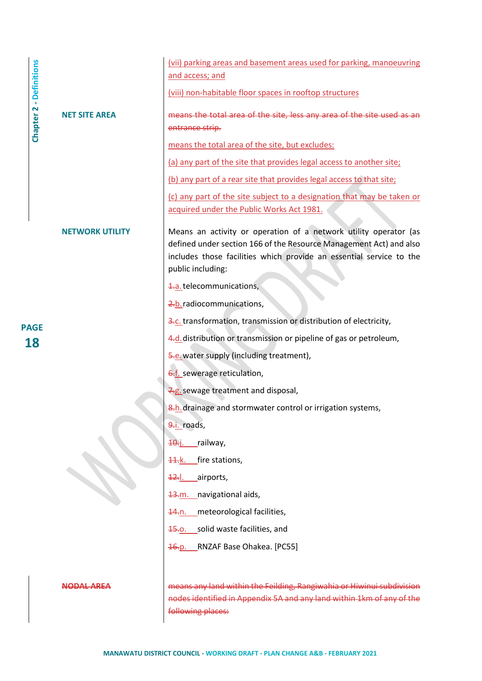|  | <b>Chapter 2 - Definitions</b> |                        | (vii) parking areas and basement areas used for parking, manoeuvring<br>and access; and<br>(viii) non-habitable floor spaces in rooftop structures                                                                                 |
|--|--------------------------------|------------------------|------------------------------------------------------------------------------------------------------------------------------------------------------------------------------------------------------------------------------------|
|  |                                | <b>NET SITE AREA</b>   | means the total area of the site, less any area of the site used as an<br>entrance strip.                                                                                                                                          |
|  |                                |                        | means the total area of the site, but excludes:                                                                                                                                                                                    |
|  |                                |                        | (a) any part of the site that provides legal access to another site;                                                                                                                                                               |
|  |                                |                        | (b) any part of a rear site that provides legal access to that site;                                                                                                                                                               |
|  |                                |                        | (c) any part of the site subject to a designation that may be taken or<br>acquired under the Public Works Act 1981.                                                                                                                |
|  |                                | <b>NETWORK UTILITY</b> | Means an activity or operation of a network utility operator (as<br>defined under section 166 of the Resource Management Act) and also<br>includes those facilities which provide an essential service to the<br>public including: |
|  |                                |                        | 4.a. telecommunications,                                                                                                                                                                                                           |
|  |                                |                        | 2.b. radiocommunications,                                                                                                                                                                                                          |
|  | <b>PAGE</b>                    |                        | 3.c. transformation, transmission or distribution of electricity,                                                                                                                                                                  |
|  | 18                             |                        | 4.d. distribution or transmission or pipeline of gas or petroleum,                                                                                                                                                                 |
|  |                                |                        | 5.e. water supply (including treatment),                                                                                                                                                                                           |
|  |                                |                        | 6.f. sewerage reticulation,                                                                                                                                                                                                        |
|  |                                |                        | 7-g. sewage treatment and disposal,                                                                                                                                                                                                |
|  |                                |                        | 8.h. drainage and stormwater control or irrigation systems,                                                                                                                                                                        |
|  |                                |                        | 9.i. roads,                                                                                                                                                                                                                        |
|  |                                |                        | railway,<br><del>10.</del> j.                                                                                                                                                                                                      |
|  |                                |                        | fire stations,<br><del>11.</del> k.                                                                                                                                                                                                |
|  |                                |                        | airports,<br><u> 12.I.</u>                                                                                                                                                                                                         |
|  |                                |                        | 13.m. navigational aids,                                                                                                                                                                                                           |
|  |                                |                        | meteorological facilities,<br><del>14.</del> n.                                                                                                                                                                                    |
|  |                                |                        | 45.0. solid waste facilities, and                                                                                                                                                                                                  |
|  |                                |                        | 46.p. RNZAF Base Ohakea. [PC55]                                                                                                                                                                                                    |
|  |                                | <b>NODAL AREA</b>      | means any land within the Feilding, Rangiwahia or Hiwinui subdivision<br>nodes identified in Appendix 5A and any land within 1km of any of the<br>following places:                                                                |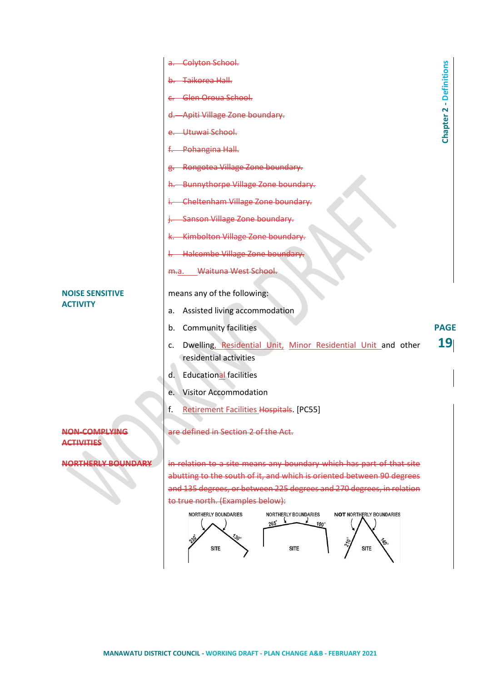|                                    | Colyton School.                                                                                          |                               |
|------------------------------------|----------------------------------------------------------------------------------------------------------|-------------------------------|
|                                    | Taikorea Hall.                                                                                           | <b>Definitions</b>            |
|                                    | Glen Oroua School.                                                                                       |                               |
|                                    | Apiti Village Zone boundary.                                                                             | ×,<br>$\overline{\mathbf{N}}$ |
|                                    | -Utuwai School.                                                                                          | Chapter                       |
|                                    | Pohangina Hall.                                                                                          |                               |
|                                    | g. Rongotea Village Zone boundary.                                                                       |                               |
|                                    | h. Bunnythorpe Village Zone boundary.                                                                    |                               |
|                                    | Cheltenham Village Zone boundary.                                                                        |                               |
|                                    | Sanson Village Zone boundary.                                                                            |                               |
|                                    | Kimbolton Village Zone boundary.                                                                         |                               |
|                                    | Halcombe Village Zone boundary.                                                                          |                               |
|                                    | Waituna West School.<br><del>m.</del> a.                                                                 |                               |
| <b>NOISE SENSITIVE</b>             | means any of the following:                                                                              |                               |
| <b>ACTIVITY</b>                    | Assisted living accommodation<br>a.                                                                      |                               |
|                                    | <b>Community facilities</b><br>b.                                                                        | <b>PAGE</b>                   |
|                                    | Dwelling, Residential Unit, Minor Residential Unit and other<br>c.<br>residential activities             | <u> 19</u>                    |
|                                    | <b>Educational facilities</b><br>d.                                                                      |                               |
|                                    | <b>Visitor Accommodation</b><br>e.                                                                       |                               |
|                                    | f.<br><b>Retirement Facilities Hospitals. [PC55]</b>                                                     |                               |
| NON-COMPLYING<br><b>ACTIVITIES</b> | are defined in Section 2 of the Act.                                                                     |                               |
| NORTHERLY BOUNDARY                 | in relation to a site means any boundary which has part of that site                                     |                               |
|                                    | abutting to the south of it, and which is oriented between 90 degrees                                    |                               |
|                                    | and 135 degrees, or between 225 degrees and 270 degrees, in relation<br>to true north. (Examples below): |                               |
|                                    | NORTHERLY BOUNDARIES<br><b>NOT NORTHERLY BOUNDARIES</b><br><b>NORTHERLY BOUNDARIES</b>                   |                               |
|                                    | $265^{o}$ 4<br>$100^\circ$<br>730°<br><b>SITE</b><br><b>SITE</b><br><b>SITE</b>                          |                               |
|                                    |                                                                                                          |                               |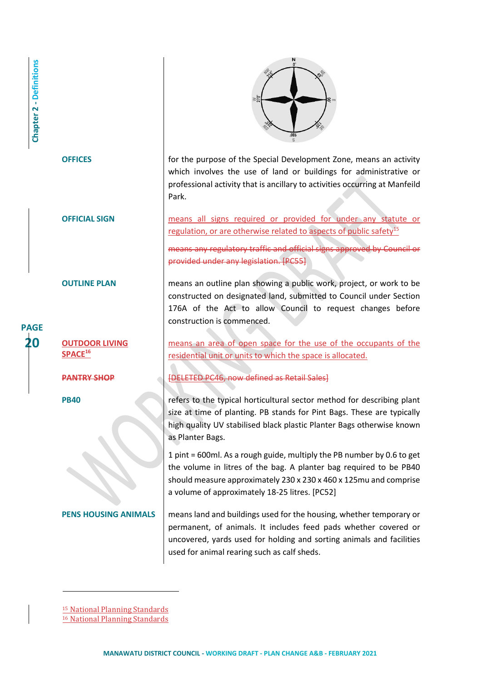**OUTDOOR LIVING SPACE<sup>16</sup>**

**OFFICES for the purpose of the Special Development Zone, means an activity** which involves the use of land or buildings for administrative or professional activity that is ancillary to activities occurring at Manfeild Park.

**OFFICIAL SIGN** means all signs required or provided for under any statute or regulation, or are otherwise related to aspects of public safety<sup>15</sup>

> means any regulatory traffic and official signs approved by Council or provided under any legislation. [PC55]

**OUTLINE PLAN** means an outline plan showing a public work, project, or work to be constructed on designated land, submitted to Council under Section 176A of the Act to allow Council to request changes before construction is commenced.

> means an area of open space for the use of the occupants of the residential unit or units to which the space is allocated.

**PANTRY SHOP EXECUTED** PC46, now defined as Retail Sales

**PB40 refers to the typical horticultural sector method for describing plant** size at time of planting. PB stands for Pint Bags. These are typically high quality UV stabilised black plastic Planter Bags otherwise known as Planter Bags.

> 1 pint = 600ml. As a rough guide, multiply the PB number by 0.6 to get the volume in litres of the bag. A planter bag required to be PB40 should measure approximately 230 x 230 x 460 x 125mu and comprise a volume of approximately 18-25 litres. [PC52]

**PENS HOUSING ANIMALS** means land and buildings used for the housing, whether temporary or permanent, of animals. It includes feed pads whether covered or uncovered, yards used for holding and sorting animals and facilities used for animal rearing such as calf sheds.

<sup>15</sup> National Planning Standards <sup>16</sup> National Planning Standards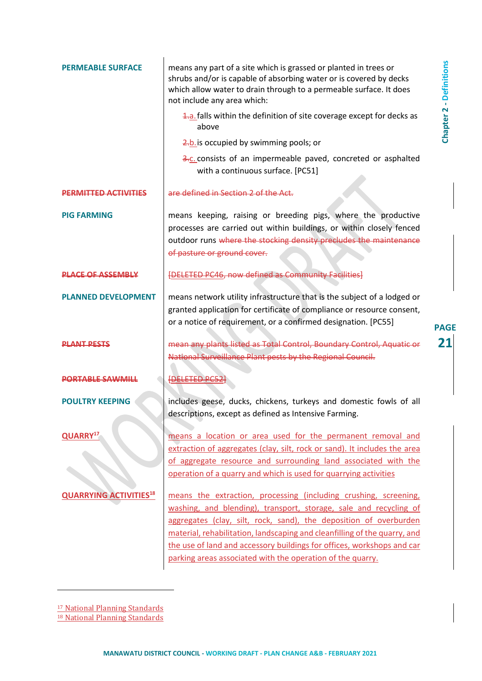| <b>PERMEABLE SURFACE</b>      | means any part of a site which is grassed or planted in trees or<br>shrubs and/or is capable of absorbing water or is covered by decks<br>which allow water to drain through to a permeable surface. It does<br>not include any area which:<br>1.a. falls within the definition of site coverage except for decks as<br>above<br>2.b. is occupied by swimming pools; or<br>3.c. consists of an impermeable paved, concreted or asphalted<br>with a continuous surface. [PC51] | <b>Chapter 2 - Definitions</b> |
|-------------------------------|-------------------------------------------------------------------------------------------------------------------------------------------------------------------------------------------------------------------------------------------------------------------------------------------------------------------------------------------------------------------------------------------------------------------------------------------------------------------------------|--------------------------------|
| <u>PERMITTED ACTIVITIES</u>   | are defined in Section 2 of the Act.                                                                                                                                                                                                                                                                                                                                                                                                                                          |                                |
| <b>PIG FARMING</b>            | means keeping, raising or breeding pigs, where the productive<br>processes are carried out within buildings, or within closely fenced<br>outdoor runs where the stocking density precludes the maintenance<br>of pasture or ground cover.                                                                                                                                                                                                                                     |                                |
| <b>PLACE OF ASSEMBLY</b>      | [DELETED PC46, now defined as Community Facilities]                                                                                                                                                                                                                                                                                                                                                                                                                           |                                |
| <b>PLANNED DEVELOPMENT</b>    | means network utility infrastructure that is the subject of a lodged or<br>granted application for certificate of compliance or resource consent,<br>or a notice of requirement, or a confirmed designation. [PC55]                                                                                                                                                                                                                                                           | <b>PAGE</b>                    |
| <u>DI ANT DESTS</u>           | mean any plants listed as Total Control, Boundary Control, Aquatic or<br>National Surveillance Plant pests by the Regional Council.                                                                                                                                                                                                                                                                                                                                           | 21                             |
| <b>PORTABLE SAWMILL</b>       | <b>IDELETED PC5</b>                                                                                                                                                                                                                                                                                                                                                                                                                                                           |                                |
| <b>POULTRY KFFPING</b>        | includes geese, ducks, chickens, turkeys and domestic fowls of all<br>descriptions, except as defined as Intensive Farming.                                                                                                                                                                                                                                                                                                                                                   |                                |
| QUARRY <sup>17</sup>          | means a location or area used for the permanent removal and<br>extraction of aggregates (clay, silt, rock or sand). It includes the area<br>of aggregate resource and surrounding land associated with the<br>operation of a quarry and which is used for quarrying activities                                                                                                                                                                                                |                                |
| <b>QUARRYING ACTIVITIES18</b> | means the extraction, processing (including crushing, screening,<br>washing, and blending), transport, storage, sale and recycling of<br>aggregates (clay, silt, rock, sand), the deposition of overburden<br>material, rehabilitation, landscaping and cleanfilling of the quarry, and<br>the use of land and accessory buildings for offices, workshops and car<br>parking areas associated with the operation of the quarry.                                               |                                |

<sup>17</sup> National Planning Standards

<sup>18</sup> National Planning Standards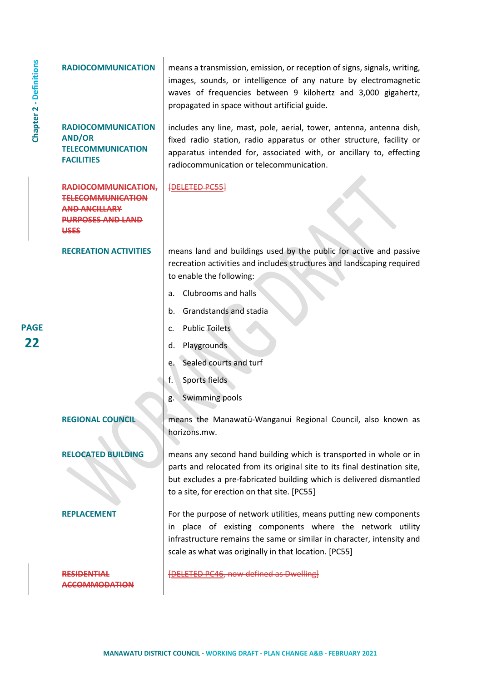| <b>Chapter 2 - Definitions</b> | <b>RADIOCOMMUNICATION</b>                                                                                   | means a transmission, emission, or reception of signs, signals, writing,<br>images, sounds, or intelligence of any nature by electromagnetic<br>waves of frequencies between 9 kilohertz and 3,000 gigahertz,<br>propagated in space without artificial guide.          |
|--------------------------------|-------------------------------------------------------------------------------------------------------------|-------------------------------------------------------------------------------------------------------------------------------------------------------------------------------------------------------------------------------------------------------------------------|
|                                | <b>RADIOCOMMUNICATION</b><br><b>AND/OR</b><br><b>TELECOMMUNICATION</b><br><b>FACILITIES</b>                 | includes any line, mast, pole, aerial, tower, antenna, antenna dish,<br>fixed radio station, radio apparatus or other structure, facility or<br>apparatus intended for, associated with, or ancillary to, effecting<br>radiocommunication or telecommunication.         |
|                                | RADIOCOMMUNICATION.<br><b>TELECOMMUNICATION</b><br>AND ANCILLARY<br><b>PURPOSES AND LAND</b><br><b>USES</b> | <del>[DELETED PC55]</del>                                                                                                                                                                                                                                               |
|                                | <b>RECREATION ACTIVITIES</b>                                                                                | means land and buildings used by the public for active and passive<br>recreation activities and includes structures and landscaping required<br>to enable the following:                                                                                                |
|                                |                                                                                                             | Clubrooms and halls<br>a.                                                                                                                                                                                                                                               |
|                                |                                                                                                             | Grandstands and stadia<br>b.                                                                                                                                                                                                                                            |
| <b>PAGE</b>                    |                                                                                                             | <b>Public Toilets</b><br>c.                                                                                                                                                                                                                                             |
| 22                             |                                                                                                             | Playgrounds<br>d.                                                                                                                                                                                                                                                       |
|                                |                                                                                                             | Sealed courts and turf<br>е.                                                                                                                                                                                                                                            |
|                                |                                                                                                             | f.<br>Sports fields                                                                                                                                                                                                                                                     |
|                                |                                                                                                             | Swimming pools<br>g.                                                                                                                                                                                                                                                    |
|                                | <b>REGIONAL COUNCIL</b>                                                                                     | means the Manawatū-Wanganui Regional Council, also known as<br>horizons.mw.                                                                                                                                                                                             |
|                                | <b>RELOCATED BUILDING</b>                                                                                   | means any second hand building which is transported in whole or in<br>parts and relocated from its original site to its final destination site,<br>but excludes a pre-fabricated building which is delivered dismantled<br>to a site, for erection on that site. [PC55] |
|                                | <b>REPLACEMENT</b>                                                                                          | For the purpose of network utilities, means putting new components<br>place of existing components where the network utility<br>in<br>infrastructure remains the same or similar in character, intensity and<br>scale as what was originally in that location. [PC55]   |
|                                | PESIDENTIA<br>ACCOMMODATION                                                                                 | [DELETED PC46, now defined as Dwelling]                                                                                                                                                                                                                                 |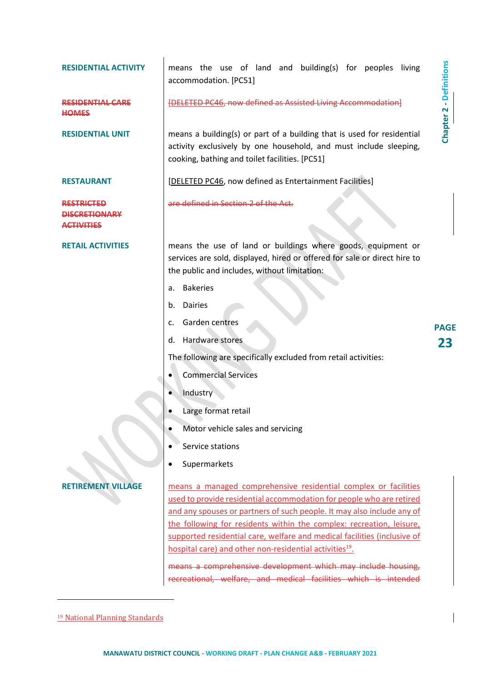| <b>RESIDENTIAL ACTIVITY</b>                          | means the use of land and building(s) for peoples living<br>accommodation. [PC51]                                                                                                                                                                                                                                                                                                                                                                                                                                                                                               |                                |
|------------------------------------------------------|---------------------------------------------------------------------------------------------------------------------------------------------------------------------------------------------------------------------------------------------------------------------------------------------------------------------------------------------------------------------------------------------------------------------------------------------------------------------------------------------------------------------------------------------------------------------------------|--------------------------------|
| RESIDENTIAL CARE<br>HOMES                            | [DELETED PC46, now defined as Assisted Living Accommodation]                                                                                                                                                                                                                                                                                                                                                                                                                                                                                                                    | <b>Chapter 2 - Definitions</b> |
| <b>RESIDENTIAL UNIT</b>                              | means a building(s) or part of a building that is used for residential<br>activity exclusively by one household, and must include sleeping,<br>cooking, bathing and toilet facilities. [PC51]                                                                                                                                                                                                                                                                                                                                                                                   |                                |
| <b>RESTAURANT</b>                                    | [DELETED PC46, now defined as Entertainment Facilities]                                                                                                                                                                                                                                                                                                                                                                                                                                                                                                                         |                                |
| 1591116150<br><b>CRETIONARY</b><br><b>ACTIVITIES</b> | are defined in Section 2 of the Act.                                                                                                                                                                                                                                                                                                                                                                                                                                                                                                                                            |                                |
| <b>RETAIL ACTIVITIES</b>                             | means the use of land or buildings where goods, equipment or<br>services are sold, displayed, hired or offered for sale or direct hire to<br>the public and includes, without limitation:                                                                                                                                                                                                                                                                                                                                                                                       |                                |
|                                                      | <b>Bakeries</b><br>a.                                                                                                                                                                                                                                                                                                                                                                                                                                                                                                                                                           |                                |
|                                                      | <b>Dairies</b><br>b.                                                                                                                                                                                                                                                                                                                                                                                                                                                                                                                                                            |                                |
|                                                      | Garden centres<br>$\mathsf{C}$ .                                                                                                                                                                                                                                                                                                                                                                                                                                                                                                                                                | <b>PAGE</b>                    |
|                                                      | Hardware stores<br>d.                                                                                                                                                                                                                                                                                                                                                                                                                                                                                                                                                           | 23                             |
|                                                      | The following are specifically excluded from retail activities:                                                                                                                                                                                                                                                                                                                                                                                                                                                                                                                 |                                |
|                                                      | <b>Commercial Services</b>                                                                                                                                                                                                                                                                                                                                                                                                                                                                                                                                                      |                                |
|                                                      | Industry                                                                                                                                                                                                                                                                                                                                                                                                                                                                                                                                                                        |                                |
|                                                      | Large format retail                                                                                                                                                                                                                                                                                                                                                                                                                                                                                                                                                             |                                |
|                                                      | Motor vehicle sales and servicing                                                                                                                                                                                                                                                                                                                                                                                                                                                                                                                                               |                                |
|                                                      | Service stations                                                                                                                                                                                                                                                                                                                                                                                                                                                                                                                                                                |                                |
|                                                      | Supermarkets<br>٠                                                                                                                                                                                                                                                                                                                                                                                                                                                                                                                                                               |                                |
| <b>RETIREMENT VILLAGE</b>                            | means a managed comprehensive residential complex or facilities<br>used to provide residential accommodation for people who are retired<br>and any spouses or partners of such people. It may also include any of<br>the following for residents within the complex: recreation, leisure,<br>supported residential care, welfare and medical facilities (inclusive of<br>hospital care) and other non-residential activities <sup>19</sup> .<br>means a comprehensive development which may include housing,<br>recreational, welfare, and medical facilities which is intended |                                |

<sup>19</sup> National Planning Standards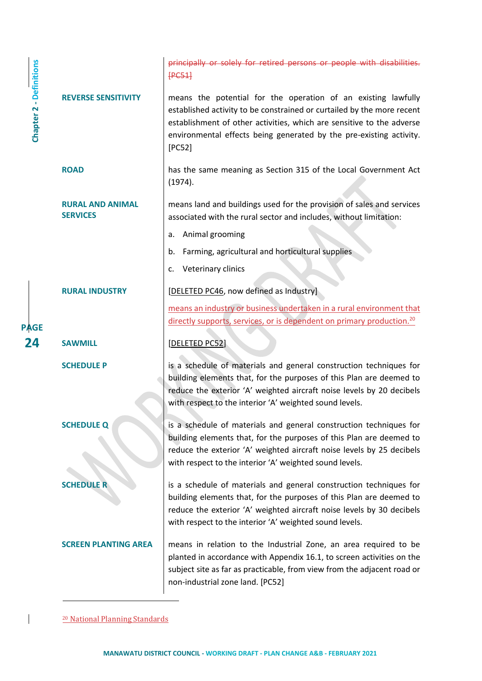| <b>Chapter 2 - Definitions</b> | <b>REVERSE SENSITIVITY</b>                 | principally or solely for retired persons or people with disabilities.<br>[PC54]<br>means the potential for the operation of an existing lawfully<br>established activity to be constrained or curtailed by the more recent<br>establishment of other activities, which are sensitive to the adverse<br>environmental effects being generated by the pre-existing activity.<br>[PC52] |
|--------------------------------|--------------------------------------------|---------------------------------------------------------------------------------------------------------------------------------------------------------------------------------------------------------------------------------------------------------------------------------------------------------------------------------------------------------------------------------------|
|                                | <b>ROAD</b>                                | has the same meaning as Section 315 of the Local Government Act<br>(1974).                                                                                                                                                                                                                                                                                                            |
| <b>PAGE</b>                    | <b>RURAL AND ANIMAL</b><br><b>SERVICES</b> | means land and buildings used for the provision of sales and services<br>associated with the rural sector and includes, without limitation:<br>Animal grooming<br>a.<br>Farming, agricultural and horticultural supplies<br>b.<br>Veterinary clinics<br>c.                                                                                                                            |
|                                | <b>RURAL INDUSTRY</b>                      | [DELETED PC46, now defined as Industry]<br>means an industry or business undertaken in a rural environment that<br>directly supports, services, or is dependent on primary production. <sup>20</sup>                                                                                                                                                                                  |
| 24                             | <b>SAWMILL</b>                             | [DELETED PC52]                                                                                                                                                                                                                                                                                                                                                                        |
|                                | <b>SCHEDULE P</b>                          | is a schedule of materials and general construction techniques for<br>building elements that, for the purposes of this Plan are deemed to<br>reduce the exterior 'A' weighted aircraft noise levels by 20 decibels<br>with respect to the interior 'A' weighted sound levels.                                                                                                         |
|                                | <b>SCHEDULE Q</b>                          | is a schedule of materials and general construction techniques for<br>building elements that, for the purposes of this Plan are deemed to<br>reduce the exterior 'A' weighted aircraft noise levels by 25 decibels<br>with respect to the interior 'A' weighted sound levels.                                                                                                         |
|                                | <b>SCHEDULE F</b>                          | is a schedule of materials and general construction techniques for<br>building elements that, for the purposes of this Plan are deemed to<br>reduce the exterior 'A' weighted aircraft noise levels by 30 decibels<br>with respect to the interior 'A' weighted sound levels.                                                                                                         |
|                                | <b>SCREEN PLANTING AREA</b>                | means in relation to the Industrial Zone, an area required to be<br>planted in accordance with Appendix 16.1, to screen activities on the<br>subject site as far as practicable, from view from the adjacent road or<br>non-industrial zone land. [PC52]                                                                                                                              |
|                                |                                            |                                                                                                                                                                                                                                                                                                                                                                                       |

 $\begin{array}{c} \hline \end{array}$ 

<sup>20</sup> National Planning Standards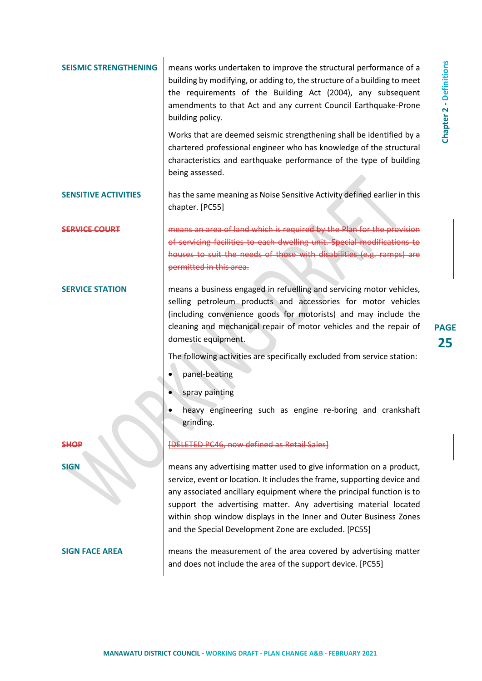| SEISMIC STRENGTHENING       | means works undertaken to improve the structural performance of a<br>building by modifying, or adding to, the structure of a building to meet<br>the requirements of the Building Act (2004), any subsequent<br>amendments to that Act and any current Council Earthquake-Prone<br>building policy.                                                                                                                        |
|-----------------------------|----------------------------------------------------------------------------------------------------------------------------------------------------------------------------------------------------------------------------------------------------------------------------------------------------------------------------------------------------------------------------------------------------------------------------|
|                             | Works that are deemed seismic strengthening shall be identified by a<br>chartered professional engineer who has knowledge of the structural<br>characteristics and earthquake performance of the type of building<br>being assessed.                                                                                                                                                                                       |
| <b>SENSITIVE ACTIVITIES</b> | has the same meaning as Noise Sensitive Activity defined earlier in this<br>chapter. [PC55]                                                                                                                                                                                                                                                                                                                                |
| <b>SERVICE COURT</b>        | means an area of land which is required by the Plan for the provision<br>of servicing facilities to each dwelling unit. Special modifications to<br>houses to suit the needs of those with disabilities (e.g. ramps) are<br>permitted in this area.                                                                                                                                                                        |
| <b>SERVICE STATION</b>      | means a business engaged in refuelling and servicing motor vehicles,<br>selling petroleum products and accessories for motor vehicles<br>(including convenience goods for motorists) and may include the<br>cleaning and mechanical repair of motor vehicles and the repair of<br>domestic equipment.                                                                                                                      |
|                             | The following activities are specifically excluded from service station:<br>panel-beating                                                                                                                                                                                                                                                                                                                                  |
|                             | spray painting                                                                                                                                                                                                                                                                                                                                                                                                             |
|                             | heavy engineering such as engine re-boring and crankshaft<br>grinding.                                                                                                                                                                                                                                                                                                                                                     |
| SHOP                        | [DELETED PC46, now defined as Retail Sales]                                                                                                                                                                                                                                                                                                                                                                                |
| <b>SIGN</b>                 | means any advertising matter used to give information on a product,<br>service, event or location. It includes the frame, supporting device and<br>any associated ancillary equipment where the principal function is to<br>support the advertising matter. Any advertising material located<br>within shop window displays in the Inner and Outer Business Zones<br>and the Special Development Zone are excluded. [PC55] |
| <b>SIGN FACE AREA</b>       | means the measurement of the area covered by advertising matter<br>and does not include the area of the support device. [PC55]                                                                                                                                                                                                                                                                                             |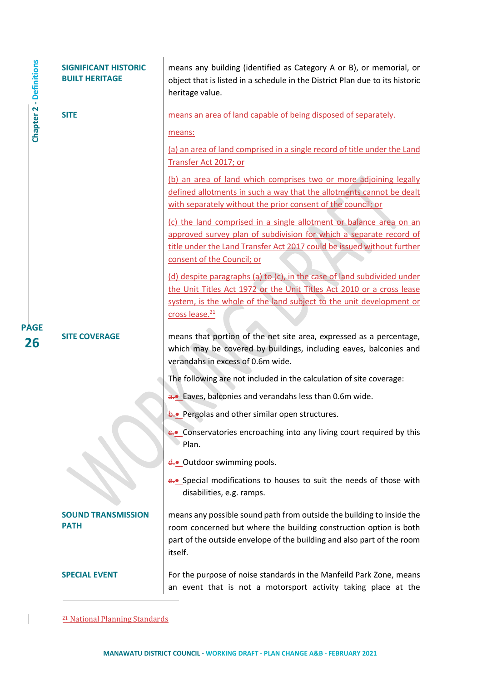| <b>Chapter 2 - Definitions</b> | <b>SIGNIFICANT HISTORIC</b><br><b>BUILT HERITAGE</b> | means any building (identified as Category A or B), or memorial, or<br>object that is listed in a schedule in the District Plan due to its historic<br>heritage value.                                                                                |
|--------------------------------|------------------------------------------------------|-------------------------------------------------------------------------------------------------------------------------------------------------------------------------------------------------------------------------------------------------------|
|                                | <b>SITE</b>                                          | means an area of land capable of being disposed of separately.                                                                                                                                                                                        |
|                                |                                                      | means:                                                                                                                                                                                                                                                |
|                                |                                                      | (a) an area of land comprised in a single record of title under the Land<br>Transfer Act 2017; or                                                                                                                                                     |
|                                |                                                      | (b) an area of land which comprises two or more adjoining legally<br>defined allotments in such a way that the allotments cannot be dealt<br>with separately without the prior consent of the council; or                                             |
|                                |                                                      | (c) the land comprised in a single allotment or balance area on an<br>approved survey plan of subdivision for which a separate record of<br>title under the Land Transfer Act 2017 could be issued without further<br>consent of the Council; or      |
|                                |                                                      | (d) despite paragraphs (a) to (c), in the case of land subdivided under<br>the Unit Titles Act 1972 or the Unit Titles Act 2010 or a cross lease<br>system, is the whole of the land subject to the unit development or<br>cross lease. <sup>21</sup> |
| <b>PAGE</b><br>26              | <b>SITE COVERAGE</b>                                 | means that portion of the net site area, expressed as a percentage,<br>which may be covered by buildings, including eaves, balconies and<br>verandahs in excess of 0.6m wide.                                                                         |
|                                |                                                      | The following are not included in the calculation of site coverage:                                                                                                                                                                                   |
|                                |                                                      | a. Eaves, balconies and verandahs less than 0.6m wide.                                                                                                                                                                                                |
|                                |                                                      | <b>b.</b> Pergolas and other similar open structures.                                                                                                                                                                                                 |
|                                |                                                      | e. Conservatories encroaching into any living court required by this<br>Plan.                                                                                                                                                                         |
|                                |                                                      | d. Outdoor swimming pools.                                                                                                                                                                                                                            |
|                                |                                                      | e. Special modifications to houses to suit the needs of those with<br>disabilities, e.g. ramps.                                                                                                                                                       |
|                                | <b>SOUND TRANSMISSION</b><br><b>PATH</b>             | means any possible sound path from outside the building to inside the<br>room concerned but where the building construction option is both<br>part of the outside envelope of the building and also part of the room<br>itself.                       |
|                                | <b>SPECIAL EVENT</b>                                 | For the purpose of noise standards in the Manfeild Park Zone, means<br>an event that is not a motorsport activity taking place at the                                                                                                                 |

<sup>21</sup> National Planning Standards

 $\overline{\phantom{a}}$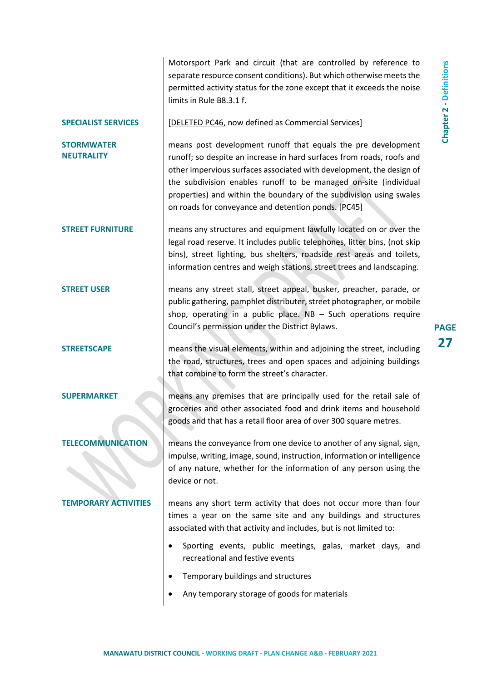|                                        | Motorsport Park and circuit (that are controlled by reference to<br>separate resource consent conditions). But which otherwise meets the<br>permitted activity status for the zone except that it exceeds the noise<br>limits in Rule B8.3.1 f.                                                                                                                                                                  |
|----------------------------------------|------------------------------------------------------------------------------------------------------------------------------------------------------------------------------------------------------------------------------------------------------------------------------------------------------------------------------------------------------------------------------------------------------------------|
| <b>SPECIALIST SERVICES</b>             | [DELETED PC46, now defined as Commercial Services]                                                                                                                                                                                                                                                                                                                                                               |
| <b>STORMWATER</b><br><b>NEUTRALITY</b> | means post development runoff that equals the pre development<br>runoff; so despite an increase in hard surfaces from roads, roofs and<br>other impervious surfaces associated with development, the design of<br>the subdivision enables runoff to be managed on-site (individual<br>properties) and within the boundary of the subdivision using swales<br>on roads for conveyance and detention ponds. [PC45] |
| <b>STREET FURNITURE</b>                | means any structures and equipment lawfully located on or over the<br>legal road reserve. It includes public telephones, litter bins, (not skip<br>bins), street lighting, bus shelters, roadside rest areas and toilets,<br>information centres and weigh stations, street trees and landscaping.                                                                                                               |
| <b>STREET USER</b>                     | means any street stall, street appeal, busker, preacher, parade, or<br>public gathering, pamphlet distributer, street photographer, or mobile<br>shop, operating in a public place. $NB - Such$ operations require<br>Council's permission under the District Bylaws.                                                                                                                                            |
| <b>STREETSCAPE</b>                     | means the visual elements, within and adjoining the street, including<br>the road, structures, trees and open spaces and adjoining buildings<br>that combine to form the street's character.                                                                                                                                                                                                                     |
| <b>SUPERMARKET</b>                     | means any premises that are principally used for the retail sale of<br>groceries and other associated food and drink items and household<br>goods and that has a retail floor area of over 300 square metres.                                                                                                                                                                                                    |
| <b>TELECOMMUNICATION</b>               | means the conveyance from one device to another of any signal, sign,<br>impulse, writing, image, sound, instruction, information or intelligence<br>of any nature, whether for the information of any person using the<br>device or not.                                                                                                                                                                         |
| <b>TEMPORARY ACTIVITIES</b>            | means any short term activity that does not occur more than four<br>times a year on the same site and any buildings and structures<br>associated with that activity and includes, but is not limited to:                                                                                                                                                                                                         |
|                                        | Sporting events, public meetings, galas, market days, and<br>$\bullet$<br>recreational and festive events                                                                                                                                                                                                                                                                                                        |
|                                        | Temporary buildings and structures                                                                                                                                                                                                                                                                                                                                                                               |
|                                        | Any temporary storage of goods for materials<br>$\bullet$                                                                                                                                                                                                                                                                                                                                                        |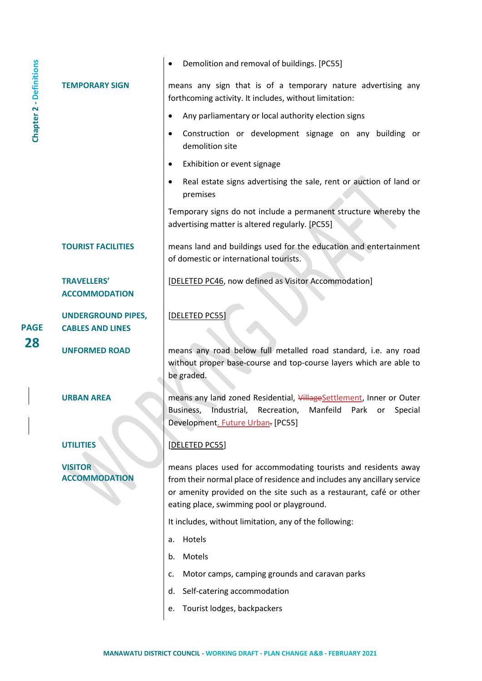|                                |                                                      | Demolition and removal of buildings. [PC55]                                                                                                                                                                                                                     |
|--------------------------------|------------------------------------------------------|-----------------------------------------------------------------------------------------------------------------------------------------------------------------------------------------------------------------------------------------------------------------|
| <b>Chapter 2 - Definitions</b> | <b>TEMPORARY SIGN</b>                                | means any sign that is of a temporary nature advertising any<br>forthcoming activity. It includes, without limitation:                                                                                                                                          |
|                                |                                                      | Any parliamentary or local authority election signs                                                                                                                                                                                                             |
|                                |                                                      | Construction or development signage on any building or<br>$\bullet$<br>demolition site                                                                                                                                                                          |
|                                |                                                      | Exhibition or event signage                                                                                                                                                                                                                                     |
|                                |                                                      | Real estate signs advertising the sale, rent or auction of land or<br>premises                                                                                                                                                                                  |
|                                |                                                      | Temporary signs do not include a permanent structure whereby the<br>advertising matter is altered regularly. [PC55]                                                                                                                                             |
|                                | <b>TOURIST FACILITIES</b>                            | means land and buildings used for the education and entertainment<br>of domestic or international tourists.                                                                                                                                                     |
|                                | <b>TRAVELLERS'</b><br><b>ACCOMMODATION</b>           | [DELETED PC46, now defined as Visitor Accommodation]                                                                                                                                                                                                            |
| <b>PAGE</b>                    | <b>UNDERGROUND PIPES,</b><br><b>CABLES AND LINES</b> | [DELETED PC55]                                                                                                                                                                                                                                                  |
| 28                             | <b>UNFORMED ROAD</b>                                 | means any road below full metalled road standard, i.e. any road                                                                                                                                                                                                 |
|                                |                                                      | without proper base-course and top-course layers which are able to<br>be graded.                                                                                                                                                                                |
|                                | <b>URBAN AREA</b>                                    | means any land zoned Residential, VillageSettlement, Inner or Outer<br>Business,<br>Industrial,<br>Recreation,<br>Manfeild<br>Park<br>Special<br>or<br>Development. Future Urban- [PC55]                                                                        |
|                                | <b>UTILITIES</b>                                     | [DELETED PC55]                                                                                                                                                                                                                                                  |
|                                | <b>VISITOR</b><br><b>ACCOMMODATION</b>               | means places used for accommodating tourists and residents away<br>from their normal place of residence and includes any ancillary service<br>or amenity provided on the site such as a restaurant, café or other<br>eating place, swimming pool or playground. |
|                                |                                                      | It includes, without limitation, any of the following:                                                                                                                                                                                                          |
|                                |                                                      | Hotels<br>а.                                                                                                                                                                                                                                                    |
|                                |                                                      | Motels<br>b.                                                                                                                                                                                                                                                    |
|                                |                                                      | Motor camps, camping grounds and caravan parks<br>c.                                                                                                                                                                                                            |
|                                |                                                      | Self-catering accommodation<br>d.                                                                                                                                                                                                                               |
|                                |                                                      | Tourist lodges, backpackers<br>е.                                                                                                                                                                                                                               |